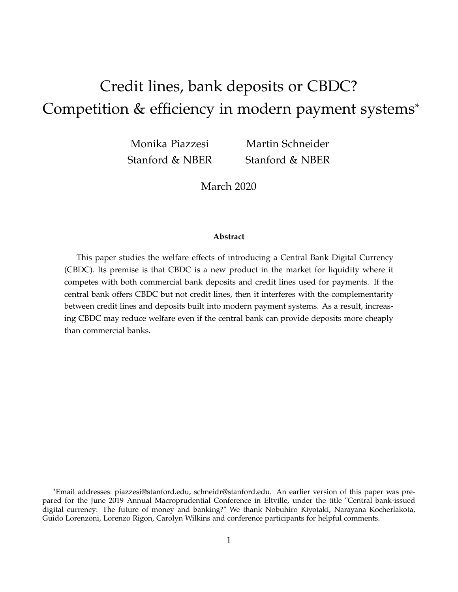# Credit lines, bank deposits or CBDC? Competition & efficiency in modern payment systems\*

Monika Piazzesi Stanford & NBER

Martin Schneider Stanford & NBER

March 2020

#### **Abstract**

This paper studies the welfare effects of introducing a Central Bank Digital Currency (CBDC). Its premise is that CBDC is a new product in the market for liquidity where it competes with both commercial bank deposits and credit lines used for payments. If the central bank offers CBDC but not credit lines, then it interferes with the complementarity between credit lines and deposits built into modern payment systems. As a result, increasing CBDC may reduce welfare even if the central bank can provide deposits more cheaply than commercial banks.

<sup>\*</sup>Email addresses: piazzesi@stanford.edu, schneidr@stanford.edu. An earlier version of this paper was prepared for the June 2019 Annual Macroprudential Conference in Eltville, under the title "Central bank-issued digital currency: The future of money and banking?" We thank Nobuhiro Kiyotaki, Narayana Kocherlakota, Guido Lorenzoni, Lorenzo Rigon, Carolyn Wilkins and conference participants for helpful comments.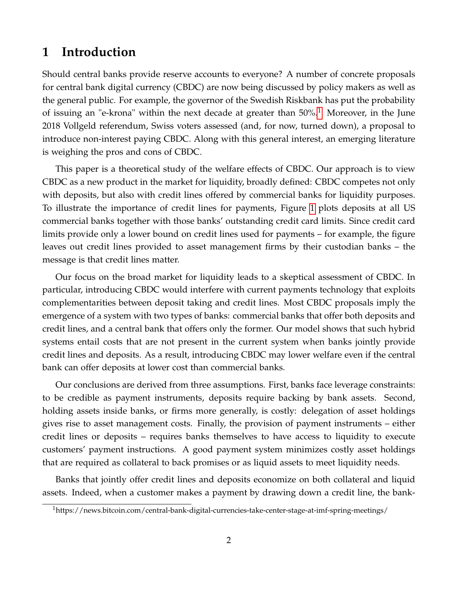# **1 Introduction**

Should central banks provide reserve accounts to everyone? A number of concrete proposals for central bank digital currency (CBDC) are now being discussed by policy makers as well as the general public. For example, the governor of the Swedish Riskbank has put the probability of issuing an "e-krona" within the next decade at greater than  $50\%$ .<sup>[1](#page-1-0)</sup> Moreover, in the June 2018 Vollgeld referendum, Swiss voters assessed (and, for now, turned down), a proposal to introduce non-interest paying CBDC. Along with this general interest, an emerging literature is weighing the pros and cons of CBDC.

This paper is a theoretical study of the welfare effects of CBDC. Our approach is to view CBDC as a new product in the market for liquidity, broadly defined: CBDC competes not only with deposits, but also with credit lines offered by commercial banks for liquidity purposes. To illustrate the importance of credit lines for payments, Figure [1](#page-2-0) plots deposits at all US commercial banks together with those banks' outstanding credit card limits. Since credit card limits provide only a lower bound on credit lines used for payments – for example, the figure leaves out credit lines provided to asset management firms by their custodian banks – the message is that credit lines matter.

Our focus on the broad market for liquidity leads to a skeptical assessment of CBDC. In particular, introducing CBDC would interfere with current payments technology that exploits complementarities between deposit taking and credit lines. Most CBDC proposals imply the emergence of a system with two types of banks: commercial banks that offer both deposits and credit lines, and a central bank that offers only the former. Our model shows that such hybrid systems entail costs that are not present in the current system when banks jointly provide credit lines and deposits. As a result, introducing CBDC may lower welfare even if the central bank can offer deposits at lower cost than commercial banks.

Our conclusions are derived from three assumptions. First, banks face leverage constraints: to be credible as payment instruments, deposits require backing by bank assets. Second, holding assets inside banks, or firms more generally, is costly: delegation of asset holdings gives rise to asset management costs. Finally, the provision of payment instruments – either credit lines or deposits – requires banks themselves to have access to liquidity to execute customers' payment instructions. A good payment system minimizes costly asset holdings that are required as collateral to back promises or as liquid assets to meet liquidity needs.

Banks that jointly offer credit lines and deposits economize on both collateral and liquid assets. Indeed, when a customer makes a payment by drawing down a credit line, the bank-

<span id="page-1-0"></span><sup>1</sup>https://news.bitcoin.com/central-bank-digital-currencies-take-center-stage-at-imf-spring-meetings/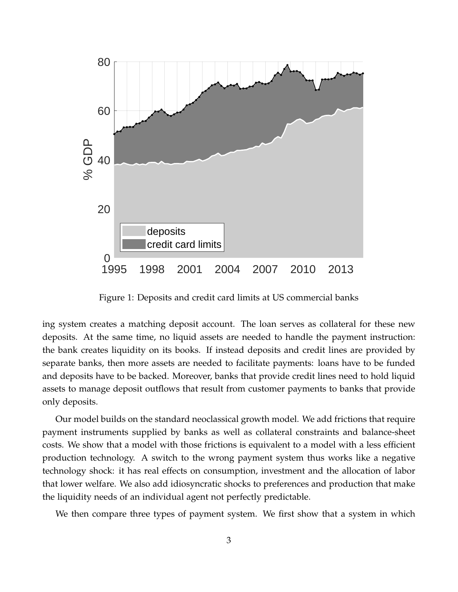

<span id="page-2-0"></span>Figure 1: Deposits and credit card limits at US commercial banks

ing system creates a matching deposit account. The loan serves as collateral for these new deposits. At the same time, no liquid assets are needed to handle the payment instruction: the bank creates liquidity on its books. If instead deposits and credit lines are provided by separate banks, then more assets are needed to facilitate payments: loans have to be funded and deposits have to be backed. Moreover, banks that provide credit lines need to hold liquid assets to manage deposit outflows that result from customer payments to banks that provide only deposits.

Our model builds on the standard neoclassical growth model. We add frictions that require payment instruments supplied by banks as well as collateral constraints and balance-sheet costs. We show that a model with those frictions is equivalent to a model with a less efficient production technology. A switch to the wrong payment system thus works like a negative technology shock: it has real effects on consumption, investment and the allocation of labor that lower welfare. We also add idiosyncratic shocks to preferences and production that make the liquidity needs of an individual agent not perfectly predictable.

We then compare three types of payment system. We first show that a system in which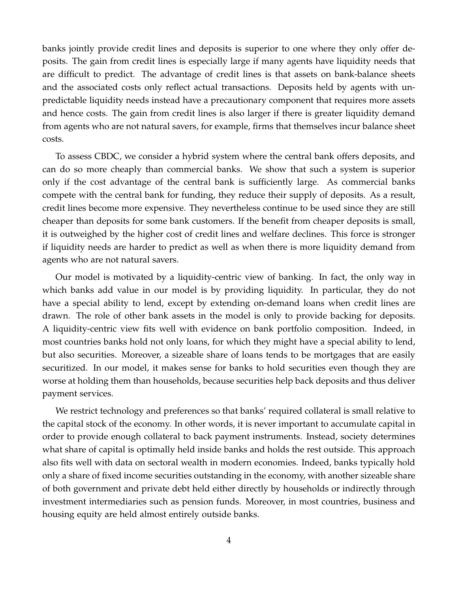banks jointly provide credit lines and deposits is superior to one where they only offer deposits. The gain from credit lines is especially large if many agents have liquidity needs that are difficult to predict. The advantage of credit lines is that assets on bank-balance sheets and the associated costs only reflect actual transactions. Deposits held by agents with unpredictable liquidity needs instead have a precautionary component that requires more assets and hence costs. The gain from credit lines is also larger if there is greater liquidity demand from agents who are not natural savers, for example, firms that themselves incur balance sheet costs.

To assess CBDC, we consider a hybrid system where the central bank offers deposits, and can do so more cheaply than commercial banks. We show that such a system is superior only if the cost advantage of the central bank is sufficiently large. As commercial banks compete with the central bank for funding, they reduce their supply of deposits. As a result, credit lines become more expensive. They nevertheless continue to be used since they are still cheaper than deposits for some bank customers. If the benefit from cheaper deposits is small, it is outweighed by the higher cost of credit lines and welfare declines. This force is stronger if liquidity needs are harder to predict as well as when there is more liquidity demand from agents who are not natural savers.

Our model is motivated by a liquidity-centric view of banking. In fact, the only way in which banks add value in our model is by providing liquidity. In particular, they do not have a special ability to lend, except by extending on-demand loans when credit lines are drawn. The role of other bank assets in the model is only to provide backing for deposits. A liquidity-centric view fits well with evidence on bank portfolio composition. Indeed, in most countries banks hold not only loans, for which they might have a special ability to lend, but also securities. Moreover, a sizeable share of loans tends to be mortgages that are easily securitized. In our model, it makes sense for banks to hold securities even though they are worse at holding them than households, because securities help back deposits and thus deliver payment services.

We restrict technology and preferences so that banks' required collateral is small relative to the capital stock of the economy. In other words, it is never important to accumulate capital in order to provide enough collateral to back payment instruments. Instead, society determines what share of capital is optimally held inside banks and holds the rest outside. This approach also fits well with data on sectoral wealth in modern economies. Indeed, banks typically hold only a share of fixed income securities outstanding in the economy, with another sizeable share of both government and private debt held either directly by households or indirectly through investment intermediaries such as pension funds. Moreover, in most countries, business and housing equity are held almost entirely outside banks.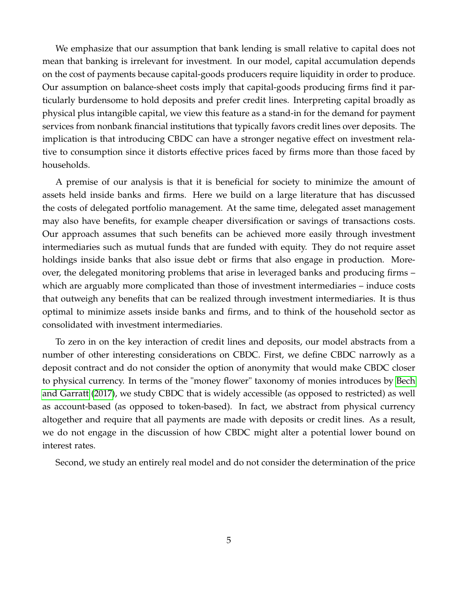We emphasize that our assumption that bank lending is small relative to capital does not mean that banking is irrelevant for investment. In our model, capital accumulation depends on the cost of payments because capital-goods producers require liquidity in order to produce. Our assumption on balance-sheet costs imply that capital-goods producing firms find it particularly burdensome to hold deposits and prefer credit lines. Interpreting capital broadly as physical plus intangible capital, we view this feature as a stand-in for the demand for payment services from nonbank financial institutions that typically favors credit lines over deposits. The implication is that introducing CBDC can have a stronger negative effect on investment relative to consumption since it distorts effective prices faced by firms more than those faced by households.

A premise of our analysis is that it is beneficial for society to minimize the amount of assets held inside banks and firms. Here we build on a large literature that has discussed the costs of delegated portfolio management. At the same time, delegated asset management may also have benefits, for example cheaper diversification or savings of transactions costs. Our approach assumes that such benefits can be achieved more easily through investment intermediaries such as mutual funds that are funded with equity. They do not require asset holdings inside banks that also issue debt or firms that also engage in production. Moreover, the delegated monitoring problems that arise in leveraged banks and producing firms – which are arguably more complicated than those of investment intermediaries – induce costs that outweigh any benefits that can be realized through investment intermediaries. It is thus optimal to minimize assets inside banks and firms, and to think of the household sector as consolidated with investment intermediaries.

To zero in on the key interaction of credit lines and deposits, our model abstracts from a number of other interesting considerations on CBDC. First, we define CBDC narrowly as a deposit contract and do not consider the option of anonymity that would make CBDC closer to physical currency. In terms of the "money flower" taxonomy of monies introduces by [Bech](#page-34-0) [and Garratt](#page-34-0) [\(2017\)](#page-34-0), we study CBDC that is widely accessible (as opposed to restricted) as well as account-based (as opposed to token-based). In fact, we abstract from physical currency altogether and require that all payments are made with deposits or credit lines. As a result, we do not engage in the discussion of how CBDC might alter a potential lower bound on interest rates.

Second, we study an entirely real model and do not consider the determination of the price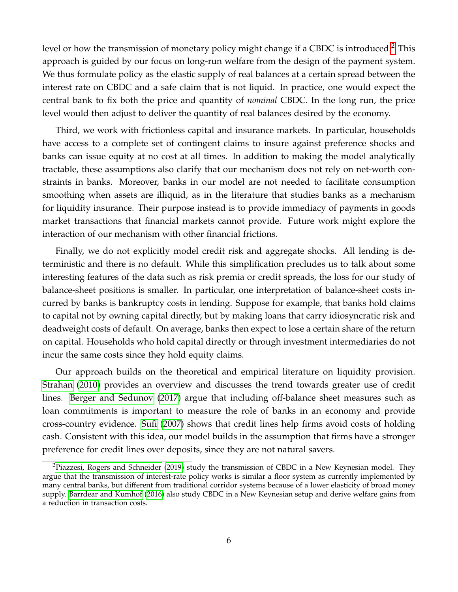level or how the transmission of monetary policy might change if a CBDC is introduced.<sup>[2](#page-5-0)</sup> This approach is guided by our focus on long-run welfare from the design of the payment system. We thus formulate policy as the elastic supply of real balances at a certain spread between the interest rate on CBDC and a safe claim that is not liquid. In practice, one would expect the central bank to fix both the price and quantity of *nominal* CBDC. In the long run, the price level would then adjust to deliver the quantity of real balances desired by the economy.

Third, we work with frictionless capital and insurance markets. In particular, households have access to a complete set of contingent claims to insure against preference shocks and banks can issue equity at no cost at all times. In addition to making the model analytically tractable, these assumptions also clarify that our mechanism does not rely on net-worth constraints in banks. Moreover, banks in our model are not needed to facilitate consumption smoothing when assets are illiquid, as in the literature that studies banks as a mechanism for liquidity insurance. Their purpose instead is to provide immediacy of payments in goods market transactions that financial markets cannot provide. Future work might explore the interaction of our mechanism with other financial frictions.

Finally, we do not explicitly model credit risk and aggregate shocks. All lending is deterministic and there is no default. While this simplification precludes us to talk about some interesting features of the data such as risk premia or credit spreads, the loss for our study of balance-sheet positions is smaller. In particular, one interpretation of balance-sheet costs incurred by banks is bankruptcy costs in lending. Suppose for example, that banks hold claims to capital not by owning capital directly, but by making loans that carry idiosyncratic risk and deadweight costs of default. On average, banks then expect to lose a certain share of the return on capital. Households who hold capital directly or through investment intermediaries do not incur the same costs since they hold equity claims.

Our approach builds on the theoretical and empirical literature on liquidity provision. [Strahan](#page-35-0) [\(2010\)](#page-35-0) provides an overview and discusses the trend towards greater use of credit lines. [Berger and Sedunov](#page-34-1) [\(2017\)](#page-34-1) argue that including off-balance sheet measures such as loan commitments is important to measure the role of banks in an economy and provide cross-country evidence. [Sufi](#page-35-1) [\(2007\)](#page-35-1) shows that credit lines help firms avoid costs of holding cash. Consistent with this idea, our model builds in the assumption that firms have a stronger preference for credit lines over deposits, since they are not natural savers.

<span id="page-5-0"></span> ${}^{2}$ [Piazzesi, Rogers and Schneider](#page-34-2) [\(2019\)](#page-34-2) study the transmission of CBDC in a New Keynesian model. They argue that the transmission of interest-rate policy works is similar a floor system as currently implemented by many central banks, but different from traditional corridor systems because of a lower elasticity of broad money supply. [Barrdear and Kumhof](#page-34-3) [\(2016\)](#page-34-3) also study CBDC in a New Keynesian setup and derive welfare gains from a reduction in transaction costs.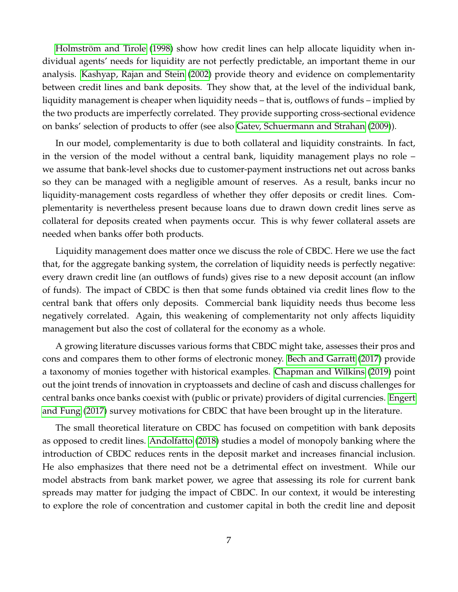[Holmström and Tirole](#page-34-4) [\(1998\)](#page-34-4) show how credit lines can help allocate liquidity when individual agents' needs for liquidity are not perfectly predictable, an important theme in our analysis. [Kashyap, Rajan and Stein](#page-34-5) [\(2002\)](#page-34-5) provide theory and evidence on complementarity between credit lines and bank deposits. They show that, at the level of the individual bank, liquidity management is cheaper when liquidity needs – that is, outflows of funds – implied by the two products are imperfectly correlated. They provide supporting cross-sectional evidence on banks' selection of products to offer (see also [Gatev, Schuermann and Strahan](#page-34-6) [\(2009\)](#page-34-6)).

In our model, complementarity is due to both collateral and liquidity constraints. In fact, in the version of the model without a central bank, liquidity management plays no role – we assume that bank-level shocks due to customer-payment instructions net out across banks so they can be managed with a negligible amount of reserves. As a result, banks incur no liquidity-management costs regardless of whether they offer deposits or credit lines. Complementarity is nevertheless present because loans due to drawn down credit lines serve as collateral for deposits created when payments occur. This is why fewer collateral assets are needed when banks offer both products.

Liquidity management does matter once we discuss the role of CBDC. Here we use the fact that, for the aggregate banking system, the correlation of liquidity needs is perfectly negative: every drawn credit line (an outflows of funds) gives rise to a new deposit account (an inflow of funds). The impact of CBDC is then that some funds obtained via credit lines flow to the central bank that offers only deposits. Commercial bank liquidity needs thus become less negatively correlated. Again, this weakening of complementarity not only affects liquidity management but also the cost of collateral for the economy as a whole.

A growing literature discusses various forms that CBDC might take, assesses their pros and cons and compares them to other forms of electronic money. [Bech and Garratt](#page-34-0) [\(2017\)](#page-34-0) provide a taxonomy of monies together with historical examples. [Chapman and Wilkins](#page-34-7) [\(2019\)](#page-34-7) point out the joint trends of innovation in cryptoassets and decline of cash and discuss challenges for central banks once banks coexist with (public or private) providers of digital currencies. [Engert](#page-34-8) [and Fung](#page-34-8) [\(2017\)](#page-34-8) survey motivations for CBDC that have been brought up in the literature.

The small theoretical literature on CBDC has focused on competition with bank deposits as opposed to credit lines. [Andolfatto](#page-34-9) [\(2018\)](#page-34-9) studies a model of monopoly banking where the introduction of CBDC reduces rents in the deposit market and increases financial inclusion. He also emphasizes that there need not be a detrimental effect on investment. While our model abstracts from bank market power, we agree that assessing its role for current bank spreads may matter for judging the impact of CBDC. In our context, it would be interesting to explore the role of concentration and customer capital in both the credit line and deposit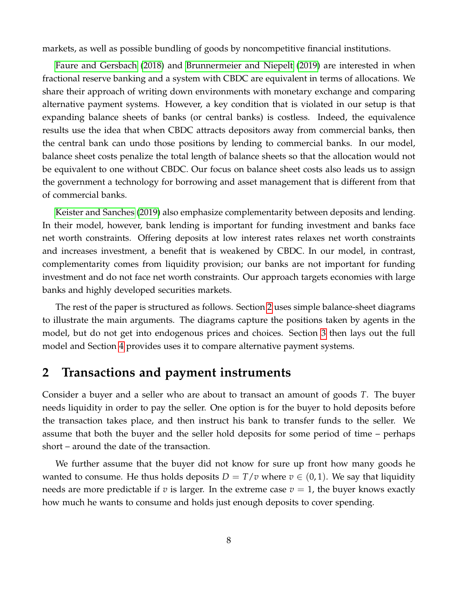markets, as well as possible bundling of goods by noncompetitive financial institutions.

[Faure and Gersbach](#page-34-10) [\(2018\)](#page-34-10) and [Brunnermeier and Niepelt](#page-34-11) [\(2019\)](#page-34-11) are interested in when fractional reserve banking and a system with CBDC are equivalent in terms of allocations. We share their approach of writing down environments with monetary exchange and comparing alternative payment systems. However, a key condition that is violated in our setup is that expanding balance sheets of banks (or central banks) is costless. Indeed, the equivalence results use the idea that when CBDC attracts depositors away from commercial banks, then the central bank can undo those positions by lending to commercial banks. In our model, balance sheet costs penalize the total length of balance sheets so that the allocation would not be equivalent to one without CBDC. Our focus on balance sheet costs also leads us to assign the government a technology for borrowing and asset management that is different from that of commercial banks.

[Keister and Sanches](#page-34-12) [\(2019\)](#page-34-12) also emphasize complementarity between deposits and lending. In their model, however, bank lending is important for funding investment and banks face net worth constraints. Offering deposits at low interest rates relaxes net worth constraints and increases investment, a benefit that is weakened by CBDC. In our model, in contrast, complementarity comes from liquidity provision; our banks are not important for funding investment and do not face net worth constraints. Our approach targets economies with large banks and highly developed securities markets.

The rest of the paper is structured as follows. Section [2](#page-7-0) uses simple balance-sheet diagrams to illustrate the main arguments. The diagrams capture the positions taken by agents in the model, but do not get into endogenous prices and choices. Section [3](#page-12-0) then lays out the full model and Section [4](#page-24-0) provides uses it to compare alternative payment systems.

# <span id="page-7-0"></span>**2 Transactions and payment instruments**

Consider a buyer and a seller who are about to transact an amount of goods *T*. The buyer needs liquidity in order to pay the seller. One option is for the buyer to hold deposits before the transaction takes place, and then instruct his bank to transfer funds to the seller. We assume that both the buyer and the seller hold deposits for some period of time – perhaps short – around the date of the transaction.

We further assume that the buyer did not know for sure up front how many goods he wanted to consume. He thus holds deposits  $D = T/v$  where  $v \in (0,1)$ . We say that liquidity needs are more predictable if *v* is larger. In the extreme case  $v = 1$ , the buyer knows exactly how much he wants to consume and holds just enough deposits to cover spending.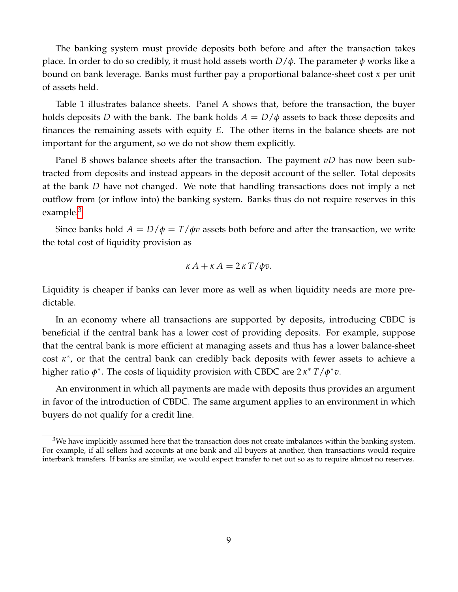The banking system must provide deposits both before and after the transaction takes place. In order to do so credibly, it must hold assets worth *D*/*φ*. The parameter *φ* works like a bound on bank leverage. Banks must further pay a proportional balance-sheet cost *κ* per unit of assets held.

Table 1 illustrates balance sheets. Panel A shows that, before the transaction, the buyer holds deposits *D* with the bank. The bank holds  $A = D/\phi$  assets to back those deposits and finances the remaining assets with equity *E*. The other items in the balance sheets are not important for the argument, so we do not show them explicitly.

Panel B shows balance sheets after the transaction. The payment *vD* has now been subtracted from deposits and instead appears in the deposit account of the seller. Total deposits at the bank *D* have not changed. We note that handling transactions does not imply a net outflow from (or inflow into) the banking system. Banks thus do not require reserves in this example. $3$ 

Since banks hold  $A = D/\phi = T/\phi v$  assets both before and after the transaction, we write the total cost of liquidity provision as

$$
\kappa A + \kappa A = 2 \kappa T / \phi v.
$$

Liquidity is cheaper if banks can lever more as well as when liquidity needs are more predictable.

In an economy where all transactions are supported by deposits, introducing CBDC is beneficial if the central bank has a lower cost of providing deposits. For example, suppose that the central bank is more efficient at managing assets and thus has a lower balance-sheet cost *κ* ∗ , or that the central bank can credibly back deposits with fewer assets to achieve a higher ratio *φ* ∗ . The costs of liquidity provision with CBDC are 2 *κ* <sup>∗</sup> *T*/*φ* ∗*v*.

An environment in which all payments are made with deposits thus provides an argument in favor of the introduction of CBDC. The same argument applies to an environment in which buyers do not qualify for a credit line.

<span id="page-8-0"></span><sup>&</sup>lt;sup>3</sup>We have implicitly assumed here that the transaction does not create imbalances within the banking system. For example, if all sellers had accounts at one bank and all buyers at another, then transactions would require interbank transfers. If banks are similar, we would expect transfer to net out so as to require almost no reserves.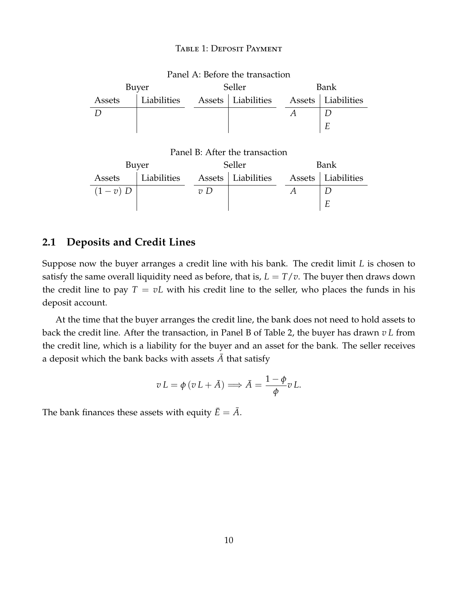#### Table 1: Deposit Payment

| Panel A: Before the transaction |                                |        |  |      |                      |  |
|---------------------------------|--------------------------------|--------|--|------|----------------------|--|
| Buyer                           |                                | Seller |  | Bank |                      |  |
| Assets                          | Liabilities Assets Liabilities |        |  |      | Assets   Liabilities |  |
|                                 |                                |        |  |      |                      |  |
|                                 |                                |        |  |      |                      |  |

#### Panel B: After the transaction

| Buyer     |             | Seller          |                      | Bank |                      |
|-----------|-------------|-----------------|----------------------|------|----------------------|
| Assets    | Liabilities |                 | Assets   Liabilities |      | Assets   Liabilities |
| $(1-v)$ D |             | $\mathcal{D}$ D |                      |      |                      |
|           |             |                 |                      |      |                      |

# **2.1 Deposits and Credit Lines**

Suppose now the buyer arranges a credit line with his bank. The credit limit *L* is chosen to satisfy the same overall liquidity need as before, that is,  $L = T/v$ . The buyer then draws down the credit line to pay  $T = vL$  with his credit line to the seller, who places the funds in his deposit account.

At the time that the buyer arranges the credit line, the bank does not need to hold assets to back the credit line. After the transaction, in Panel B of Table 2, the buyer has drawn *v L* from the credit line, which is a liability for the buyer and an asset for the bank. The seller receives a deposit which the bank backs with assets  $\overline{A}$  that satisfy

$$
v L = \phi (v L + \bar{A}) \Longrightarrow \bar{A} = \frac{1 - \phi}{\phi} v L.
$$

The bank finances these assets with equity  $\bar{E} = \bar{A}$ .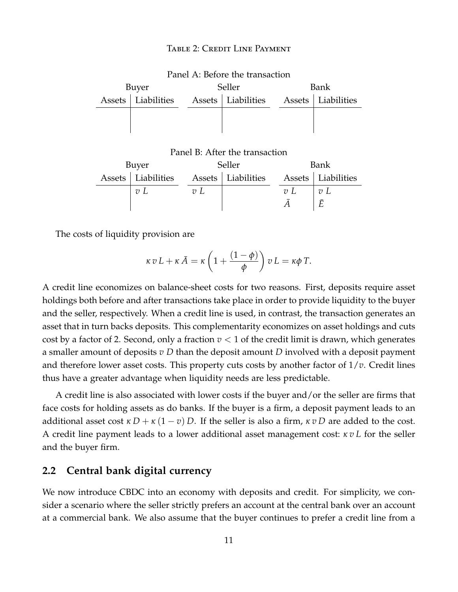#### TABLE 2: CREDIT LINE PAYMENT

| I allet A. Delvie the transaction |                                                          |        |  |      |  |  |
|-----------------------------------|----------------------------------------------------------|--------|--|------|--|--|
| Buyer                             |                                                          | Seller |  | Bank |  |  |
|                                   | Assets Liabilities Assets Liabilities Assets Liabilities |        |  |      |  |  |
|                                   |                                                          |        |  |      |  |  |
|                                   |                                                          |        |  |      |  |  |

# Panel A: Before the transaction

Panel B: After the transaction

| Buyer |                                                          | Seller |  | Bank |                  |
|-------|----------------------------------------------------------|--------|--|------|------------------|
|       | Assets Liabilities Assets Liabilities Assets Liabilities |        |  |      |                  |
|       | $v \; L$                                                 | 72L    |  | 72L  | $\overline{v}$ L |
|       |                                                          |        |  |      |                  |

The costs of liquidity provision are

$$
\kappa v L + \kappa \bar{A} = \kappa \left( 1 + \frac{(1 - \phi)}{\phi} \right) v L = \kappa \phi T.
$$

A credit line economizes on balance-sheet costs for two reasons. First, deposits require asset holdings both before and after transactions take place in order to provide liquidity to the buyer and the seller, respectively. When a credit line is used, in contrast, the transaction generates an asset that in turn backs deposits. This complementarity economizes on asset holdings and cuts cost by a factor of 2. Second, only a fraction  $v < 1$  of the credit limit is drawn, which generates a smaller amount of deposits *v D* than the deposit amount *D* involved with a deposit payment and therefore lower asset costs. This property cuts costs by another factor of 1/*v*. Credit lines thus have a greater advantage when liquidity needs are less predictable.

A credit line is also associated with lower costs if the buyer and/or the seller are firms that face costs for holding assets as do banks. If the buyer is a firm, a deposit payment leads to an additional asset cost  $\kappa D + \kappa (1 - v) D$ . If the seller is also a firm,  $\kappa v D$  are added to the cost. A credit line payment leads to a lower additional asset management cost: *κ v L* for the seller and the buyer firm.

### **2.2 Central bank digital currency**

We now introduce CBDC into an economy with deposits and credit. For simplicity, we consider a scenario where the seller strictly prefers an account at the central bank over an account at a commercial bank. We also assume that the buyer continues to prefer a credit line from a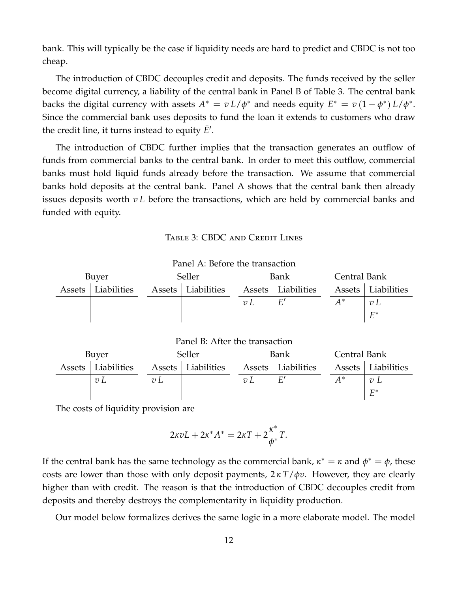bank. This will typically be the case if liquidity needs are hard to predict and CBDC is not too cheap.

The introduction of CBDC decouples credit and deposits. The funds received by the seller become digital currency, a liability of the central bank in Panel B of Table 3. The central bank backs the digital currency with assets  $A^* = v L/\phi^*$  and needs equity  $E^* = v(1 - \phi^*) L/\phi^*$ . Since the commercial bank uses deposits to fund the loan it extends to customers who draw the credit line, it turns instead to equity  $\bar{E}'$ .

The introduction of CBDC further implies that the transaction generates an outflow of funds from commercial banks to the central bank. In order to meet this outflow, commercial banks must hold liquid funds already before the transaction. We assume that commercial banks hold deposits at the central bank. Panel A shows that the central bank then already issues deposits worth *v L* before the transactions, which are held by commercial banks and funded with equity.

#### Table 3: CBDC and Credit Lines



 $\overline{A}$ 

<sup>∗</sup> *v L*

*E* ∗

Panel A: Before the transaction

The costs of liquidity provision are

$$
2\kappa vL+2\kappa^*A^*=2\kappa T+2\frac{\kappa^*}{\phi^*}T.
$$

*v L v L v L E*

If the central bank has the same technology as the commercial bank,  $\kappa^* = \kappa$  and  $\phi^* = \phi$ , these costs are lower than those with only deposit payments, 2 *κ T*/*φv*. However, they are clearly higher than with credit. The reason is that the introduction of CBDC decouples credit from deposits and thereby destroys the complementarity in liquidity production.

Our model below formalizes derives the same logic in a more elaborate model. The model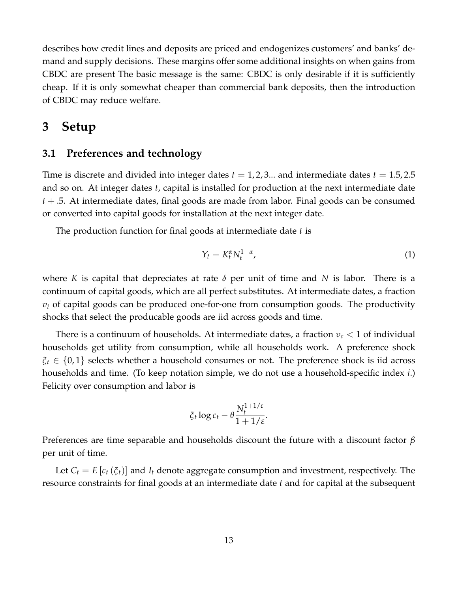describes how credit lines and deposits are priced and endogenizes customers' and banks' demand and supply decisions. These margins offer some additional insights on when gains from CBDC are present The basic message is the same: CBDC is only desirable if it is sufficiently cheap. If it is only somewhat cheaper than commercial bank deposits, then the introduction of CBDC may reduce welfare.

# <span id="page-12-0"></span>**3 Setup**

# **3.1 Preferences and technology**

Time is discrete and divided into integer dates  $t = 1, 2, 3...$  and intermediate dates  $t = 1.5, 2.5$ and so on. At integer dates *t*, capital is installed for production at the next intermediate date *t* + .5. At intermediate dates, final goods are made from labor. Final goods can be consumed or converted into capital goods for installation at the next integer date.

The production function for final goods at intermediate date *t* is

<span id="page-12-1"></span>
$$
Y_t = K_t^{\alpha} N_t^{1-\alpha},\tag{1}
$$

where *K* is capital that depreciates at rate *δ* per unit of time and *N* is labor. There is a continuum of capital goods, which are all perfect substitutes. At intermediate dates, a fraction  $v_i$  of capital goods can be produced one-for-one from consumption goods. The productivity shocks that select the producable goods are iid across goods and time.

There is a continuum of households. At intermediate dates, a fraction  $v_c < 1$  of individual households get utility from consumption, while all households work. A preference shock *ξ<sup>t</sup>* ∈ {0, 1} selects whether a household consumes or not. The preference shock is iid across households and time. (To keep notation simple, we do not use a household-specific index *i*.) Felicity over consumption and labor is

$$
\xi_t \log c_t - \theta \frac{N_t^{1+1/\varepsilon}}{1+1/\varepsilon}.
$$

Preferences are time separable and households discount the future with a discount factor *β* per unit of time.

Let  $C_t = E[c_t(\xi_t)]$  and  $I_t$  denote aggregate consumption and investment, respectively. The resource constraints for final goods at an intermediate date *t* and for capital at the subsequent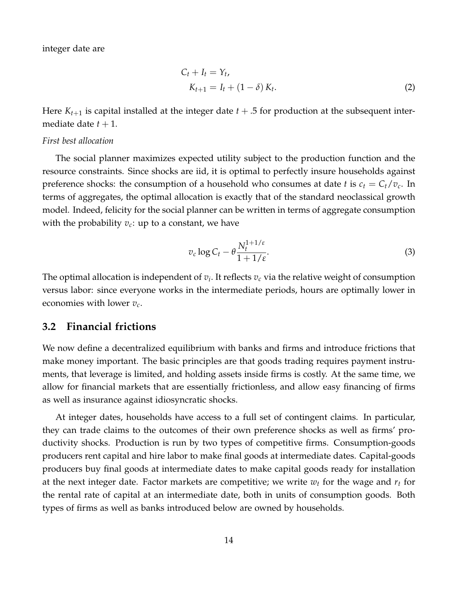integer date are

<span id="page-13-0"></span>
$$
C_t + I_t = Y_t,
$$
  
\n
$$
K_{t+1} = I_t + (1 - \delta) K_t.
$$
\n(2)

Here  $K_{t+1}$  is capital installed at the integer date  $t + .5$  for production at the subsequent intermediate date  $t + 1$ .

#### *First best allocation*

The social planner maximizes expected utility subject to the production function and the resource constraints. Since shocks are iid, it is optimal to perfectly insure households against preference shocks: the consumption of a household who consumes at date *t* is  $c_t = C_t/v_c$ . In terms of aggregates, the optimal allocation is exactly that of the standard neoclassical growth model. Indeed, felicity for the social planner can be written in terms of aggregate consumption with the probability  $v_c$ : up to a constant, we have

$$
v_c \log C_t - \theta \frac{N_t^{1+1/\varepsilon}}{1+1/\varepsilon}.\tag{3}
$$

The optimal allocation is independent of  $v_i$ . It reflects  $v_c$  via the relative weight of consumption versus labor: since everyone works in the intermediate periods, hours are optimally lower in economies with lower *vc*.

### **3.2 Financial frictions**

We now define a decentralized equilibrium with banks and firms and introduce frictions that make money important. The basic principles are that goods trading requires payment instruments, that leverage is limited, and holding assets inside firms is costly. At the same time, we allow for financial markets that are essentially frictionless, and allow easy financing of firms as well as insurance against idiosyncratic shocks.

At integer dates, households have access to a full set of contingent claims. In particular, they can trade claims to the outcomes of their own preference shocks as well as firms' productivity shocks. Production is run by two types of competitive firms. Consumption-goods producers rent capital and hire labor to make final goods at intermediate dates. Capital-goods producers buy final goods at intermediate dates to make capital goods ready for installation at the next integer date. Factor markets are competitive; we write  $w_t$  for the wage and  $r_t$  for the rental rate of capital at an intermediate date, both in units of consumption goods. Both types of firms as well as banks introduced below are owned by households.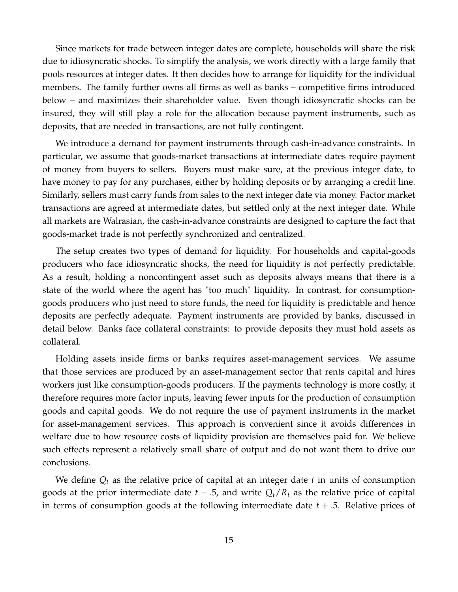Since markets for trade between integer dates are complete, households will share the risk due to idiosyncratic shocks. To simplify the analysis, we work directly with a large family that pools resources at integer dates. It then decides how to arrange for liquidity for the individual members. The family further owns all firms as well as banks – competitive firms introduced below – and maximizes their shareholder value. Even though idiosyncratic shocks can be insured, they will still play a role for the allocation because payment instruments, such as deposits, that are needed in transactions, are not fully contingent.

We introduce a demand for payment instruments through cash-in-advance constraints. In particular, we assume that goods-market transactions at intermediate dates require payment of money from buyers to sellers. Buyers must make sure, at the previous integer date, to have money to pay for any purchases, either by holding deposits or by arranging a credit line. Similarly, sellers must carry funds from sales to the next integer date via money. Factor market transactions are agreed at intermediate dates, but settled only at the next integer date. While all markets are Walrasian, the cash-in-advance constraints are designed to capture the fact that goods-market trade is not perfectly synchronized and centralized.

The setup creates two types of demand for liquidity. For households and capital-goods producers who face idiosyncratic shocks, the need for liquidity is not perfectly predictable. As a result, holding a noncontingent asset such as deposits always means that there is a state of the world where the agent has "too much" liquidity. In contrast, for consumptiongoods producers who just need to store funds, the need for liquidity is predictable and hence deposits are perfectly adequate. Payment instruments are provided by banks, discussed in detail below. Banks face collateral constraints: to provide deposits they must hold assets as collateral.

Holding assets inside firms or banks requires asset-management services. We assume that those services are produced by an asset-management sector that rents capital and hires workers just like consumption-goods producers. If the payments technology is more costly, it therefore requires more factor inputs, leaving fewer inputs for the production of consumption goods and capital goods. We do not require the use of payment instruments in the market for asset-management services. This approach is convenient since it avoids differences in welfare due to how resource costs of liquidity provision are themselves paid for. We believe such effects represent a relatively small share of output and do not want them to drive our conclusions.

We define *Q<sup>t</sup>* as the relative price of capital at an integer date *t* in units of consumption goods at the prior intermediate date  $t - 0.5$ , and write  $Q_t/R_t$  as the relative price of capital in terms of consumption goods at the following intermediate date  $t + .5$ . Relative prices of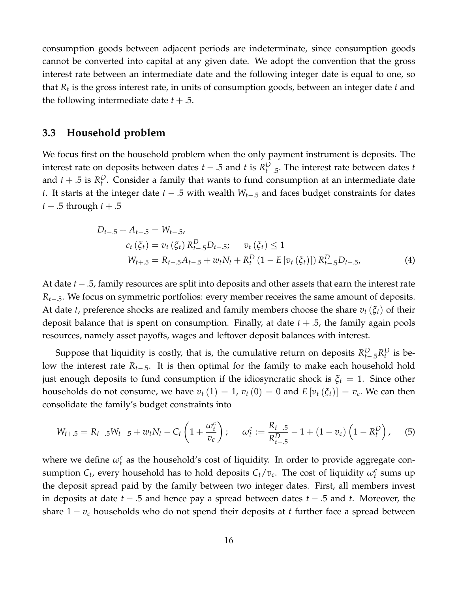consumption goods between adjacent periods are indeterminate, since consumption goods cannot be converted into capital at any given date. We adopt the convention that the gross interest rate between an intermediate date and the following integer date is equal to one, so that *R<sup>t</sup>* is the gross interest rate, in units of consumption goods, between an integer date *t* and the following intermediate date  $t + .5$ .

### **3.3 Household problem**

We focus first on the household problem when the only payment instrument is deposits. The interest rate on deposits between dates  $t - .5$  and  $t$  is  $R_{t-.5}^D$ . The interest rate between dates  $t$ and  $t + .5$  is  $R_t^D$ . Consider a family that wants to fund consumption at an intermediate date *t*. It starts at the integer date *t* − .5 with wealth *Wt*−.5 and faces budget constraints for dates *t* − .5 through *t* + .5

<span id="page-15-0"></span>
$$
D_{t-.5} + A_{t-.5} = W_{t-.5},
$$
  
\n
$$
c_t(\xi_t) = v_t(\xi_t) R_{t-.5}^D D_{t-.5}; \quad v_t(\xi_t) \le 1
$$
  
\n
$$
W_{t+.5} = R_{t-.5} A_{t-.5} + w_t N_t + R_t^D (1 - E[v_t(\xi_t)]) R_{t-.5}^D D_{t-.5},
$$
\n(4)

At date *t* −.5, family resources are split into deposits and other assets that earn the interest rate *Rt*−.5. We focus on symmetric portfolios: every member receives the same amount of deposits. At date *t*, preference shocks are realized and family members choose the share *v<sup>t</sup>* (*ξt*) of their deposit balance that is spent on consumption. Finally, at date *t* + .5, the family again pools resources, namely asset payoffs, wages and leftover deposit balances with interest.

Suppose that liquidity is costly, that is, the cumulative return on deposits  $R_{t-.5}^D R_t^D$  is below the interest rate *Rt*−.5. It is then optimal for the family to make each household hold just enough deposits to fund consumption if the idiosyncratic shock is  $\xi_t = 1$ . Since other households do not consume, we have  $v_t(1) = 1$ ,  $v_t(0) = 0$  and  $E[v_t(\xi_t)] = v_c$ . We can then consolidate the family's budget constraints into

<span id="page-15-1"></span>
$$
W_{t+.5} = R_{t-.5}W_{t-.5} + w_t N_t - C_t \left(1 + \frac{\omega_t^c}{v_c}\right); \quad \omega_t^c := \frac{R_{t-.5}}{R_{t-.5}^D} - 1 + (1 - v_c) \left(1 - R_t^D\right), \quad (5)
$$

where we define  $\omega_t^c$  as the household's cost of liquidity. In order to provide aggregate consumption  $C_t$ , every household has to hold deposits  $C_t/v_c$ . The cost of liquidity  $\omega_t^c$  sums up the deposit spread paid by the family between two integer dates. First, all members invest in deposits at date *t* − .5 and hence pay a spread between dates *t* − .5 and *t*. Moreover, the share 1 − *v<sup>c</sup>* households who do not spend their deposits at *t* further face a spread between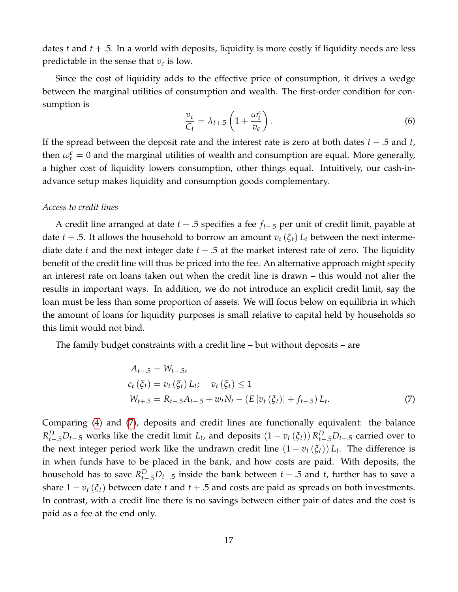dates *t* and *t* + .5. In a world with deposits, liquidity is more costly if liquidity needs are less predictable in the sense that  $v_c$  is low.

Since the cost of liquidity adds to the effective price of consumption, it drives a wedge between the marginal utilities of consumption and wealth. The first-order condition for consumption is

<span id="page-16-1"></span>
$$
\frac{v_c}{C_t} = \lambda_{t+.5} \left( 1 + \frac{\omega_t^c}{v_c} \right). \tag{6}
$$

If the spread between the deposit rate and the interest rate is zero at both dates *t* − .5 and *t*, then  $\omega_t^c = 0$  and the marginal utilities of wealth and consumption are equal. More generally, a higher cost of liquidity lowers consumption, other things equal. Intuitively, our cash-inadvance setup makes liquidity and consumption goods complementary.

#### *Access to credit lines*

A credit line arranged at date *t* − .5 specifies a fee *ft*−.5 per unit of credit limit, payable at date *t* + .5. It allows the household to borrow an amount  $v_t(\xi_t) L_t$  between the next intermediate date *t* and the next integer date *t* + .5 at the market interest rate of zero. The liquidity benefit of the credit line will thus be priced into the fee. An alternative approach might specify an interest rate on loans taken out when the credit line is drawn – this would not alter the results in important ways. In addition, we do not introduce an explicit credit limit, say the loan must be less than some proportion of assets. We will focus below on equilibria in which the amount of loans for liquidity purposes is small relative to capital held by households so this limit would not bind.

The family budget constraints with a credit line – but without deposits – are

<span id="page-16-0"></span>
$$
A_{t-5} = W_{t-5},
$$
  
\n
$$
c_t(\xi_t) = v_t(\xi_t) L_t; \quad v_t(\xi_t) \le 1
$$
  
\n
$$
W_{t+5} = R_{t-5}A_{t-5} + w_t N_t - (E[v_t(\xi_t)] + f_{t-5}) L_t.
$$
\n(7)

Comparing [\(4\)](#page-15-0) and [\(7\)](#page-16-0), deposits and credit lines are functionally equivalent: the balance  $R_{t-1}^D D_{t-1}$  works like the credit limit  $L_t$ , and deposits  $(1 - v_t(\xi_t)) R_{t-1}^D D_{t-1}$  carried over to the next integer period work like the undrawn credit line  $(1 - v_t(\xi_t)) L_t$ . The difference is in when funds have to be placed in the bank, and how costs are paid. With deposits, the household has to save  $R_{t-,5}^D D_{t-,5}$  inside the bank between  $t-.5$  and  $t$ , further has to save a share  $1 - v_t(\xi_t)$  between date *t* and  $t + .5$  and costs are paid as spreads on both investments. In contrast, with a credit line there is no savings between either pair of dates and the cost is paid as a fee at the end only.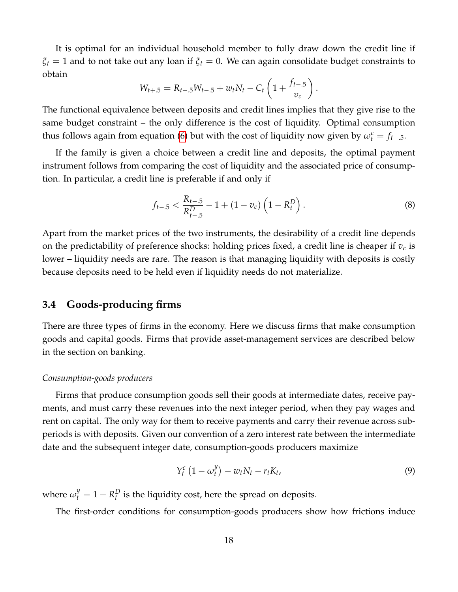It is optimal for an individual household member to fully draw down the credit line if *ξ<sup>t</sup>* = 1 and to not take out any loan if *ξ<sup>t</sup>* = 0. We can again consolidate budget constraints to obtain

$$
W_{t+.5} = R_{t-.5}W_{t-.5} + w_t N_t - C_t \left(1 + \frac{f_{t-.5}}{v_c}\right).
$$

The functional equivalence between deposits and credit lines implies that they give rise to the same budget constraint – the only difference is the cost of liquidity. Optimal consumption thus follows again from equation [\(6\)](#page-16-1) but with the cost of liquidity now given by  $\omega_t^c = f_{t-5}$ .

If the family is given a choice between a credit line and deposits, the optimal payment instrument follows from comparing the cost of liquidity and the associated price of consumption. In particular, a credit line is preferable if and only if

$$
f_{t-.5} < \frac{R_{t-.5}}{R_{t-.5}^D} - 1 + (1 - v_c) \left( 1 - R_t^D \right). \tag{8}
$$

Apart from the market prices of the two instruments, the desirability of a credit line depends on the predictability of preference shocks: holding prices fixed, a credit line is cheaper if *v<sup>c</sup>* is lower – liquidity needs are rare. The reason is that managing liquidity with deposits is costly because deposits need to be held even if liquidity needs do not materialize.

# **3.4 Goods-producing firms**

There are three types of firms in the economy. Here we discuss firms that make consumption goods and capital goods. Firms that provide asset-management services are described below in the section on banking.

#### *Consumption-goods producers*

Firms that produce consumption goods sell their goods at intermediate dates, receive payments, and must carry these revenues into the next integer period, when they pay wages and rent on capital. The only way for them to receive payments and carry their revenue across subperiods is with deposits. Given our convention of a zero interest rate between the intermediate date and the subsequent integer date, consumption-goods producers maximize

<span id="page-17-0"></span>
$$
Y_t^c \left(1 - \omega_t^y\right) - w_t N_t - r_t K_t, \tag{9}
$$

where  $\omega_t^y = 1 - R_t^D$  is the liquidity cost, here the spread on deposits.

The first-order conditions for consumption-goods producers show how frictions induce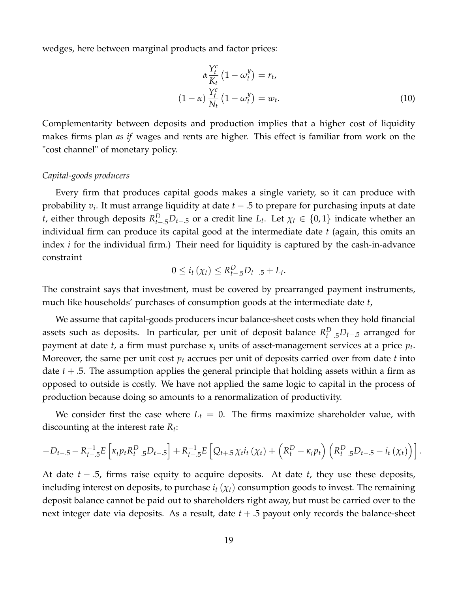wedges, here between marginal products and factor prices:

$$
\alpha \frac{Y_t^c}{K_t} (1 - \omega_t^y) = r_t,
$$
  

$$
(1 - \alpha) \frac{Y_t^c}{N_t} (1 - \omega_t^y) = w_t.
$$
 (10)

Complementarity between deposits and production implies that a higher cost of liquidity makes firms plan *as if* wages and rents are higher. This effect is familiar from work on the "cost channel" of monetary policy.

#### *Capital-goods producers*

Every firm that produces capital goods makes a single variety, so it can produce with probability *v<sup>i</sup>* . It must arrange liquidity at date *t* − .5 to prepare for purchasing inputs at date *t*, either through deposits  $R_{t-5}^D D_{t-5}$  or a credit line  $L_t$ . Let  $\chi_t \in \{0,1\}$  indicate whether an individual firm can produce its capital good at the intermediate date *t* (again, this omits an index *i* for the individual firm.) Their need for liquidity is captured by the cash-in-advance constraint

$$
0 \leq i_t(\chi_t) \leq R_{t-5}^D D_{t-5} + L_t.
$$

The constraint says that investment, must be covered by prearranged payment instruments, much like households' purchases of consumption goods at the intermediate date *t*,

We assume that capital-goods producers incur balance-sheet costs when they hold financial assets such as deposits. In particular, per unit of deposit balance  $R_{t-.5}^D D_{t-.5}$  arranged for payment at date *t*, a firm must purchase *κ<sup>i</sup>* units of asset-management services at a price *p<sup>t</sup>* . Moreover, the same per unit cost *p<sup>t</sup>* accrues per unit of deposits carried over from date *t* into date  $t + 0.5$ . The assumption applies the general principle that holding assets within a firm as opposed to outside is costly. We have not applied the same logic to capital in the process of production because doing so amounts to a renormalization of productivity.

We consider first the case where  $L_t = 0$ . The firms maximize shareholder value, with discounting at the interest rate *R<sup>t</sup>* :

$$
-D_{t-.5} - R_{t-.5}^{-1} E\left[\kappa_i p_t R_{t-.5}^D D_{t-.5}\right] + R_{t-.5}^{-1} E\left[Q_{t+.5} \chi_t i_t \left(\chi_t\right) + \left(R_t^D - \kappa_i p_t\right) \left(R_{t-.5}^D D_{t-.5} - i_t \left(\chi_t\right)\right)\right].
$$

At date *t* − .5, firms raise equity to acquire deposits. At date *t*, they use these deposits, including interest on deposits, to purchase  $i_t$  ( $\chi_t$ ) consumption goods to invest. The remaining deposit balance cannot be paid out to shareholders right away, but must be carried over to the next integer date via deposits. As a result, date  $t + .5$  payout only records the balance-sheet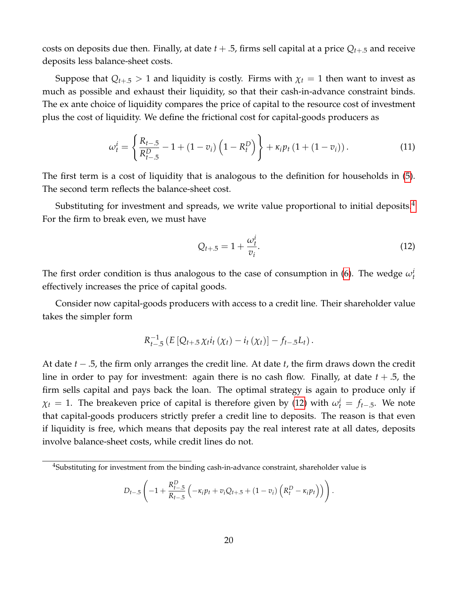costs on deposits due then. Finally, at date  $t + .5$ , firms sell capital at a price  $Q_{t+0.5}$  and receive deposits less balance-sheet costs.

Suppose that  $Q_{t+1} > 1$  and liquidity is costly. Firms with  $\chi_t = 1$  then want to invest as much as possible and exhaust their liquidity, so that their cash-in-advance constraint binds. The ex ante choice of liquidity compares the price of capital to the resource cost of investment plus the cost of liquidity. We define the frictional cost for capital-goods producers as

$$
\omega_t^i = \left\{ \frac{R_{t-5}}{R_{t-5}^D} - 1 + (1 - v_i) \left( 1 - R_t^D \right) \right\} + \kappa_i p_t \left( 1 + (1 - v_i) \right). \tag{11}
$$

The first term is a cost of liquidity that is analogous to the definition for households in [\(5\)](#page-15-1). The second term reflects the balance-sheet cost.

Substituting for investment and spreads, we write value proportional to initial deposits. $4$ For the firm to break even, we must have

<span id="page-19-1"></span>
$$
Q_{t+.5} = 1 + \frac{\omega_t^i}{v_i}.
$$
 (12)

.

The first order condition is thus analogous to the case of consumption in [\(6\)](#page-16-1). The wedge  $\omega_t^i$ effectively increases the price of capital goods.

Consider now capital-goods producers with access to a credit line. Their shareholder value takes the simpler form

$$
R_{t-5}^{-1}(E\left[Q_{t+.5}\chi_{t}i_{t}\left(\chi_{t}\right)-i_{t}\left(\chi_{t}\right)\right]-f_{t-.5}L_{t}).
$$

At date *t* − .5, the firm only arranges the credit line. At date *t*, the firm draws down the credit line in order to pay for investment: again there is no cash flow. Finally, at date *t* + .5, the firm sells capital and pays back the loan. The optimal strategy is again to produce only if  $\chi_t = 1$ . The breakeven price of capital is therefore given by [\(12\)](#page-19-1) with  $\omega_t^i = f_{t-5}$ . We note that capital-goods producers strictly prefer a credit line to deposits. The reason is that even if liquidity is free, which means that deposits pay the real interest rate at all dates, deposits involve balance-sheet costs, while credit lines do not.

$$
D_{t-5}\left(-1+\frac{R_{t-5}^D}{R_{t-5}}\left(-\kappa_i p_t + v_i Q_{t+5} + (1-v_i)\left(R_t^D - \kappa_i p_t\right)\right)\right)
$$

<span id="page-19-0"></span><sup>&</sup>lt;sup>4</sup>Substituting for investment from the binding cash-in-advance constraint, shareholder value is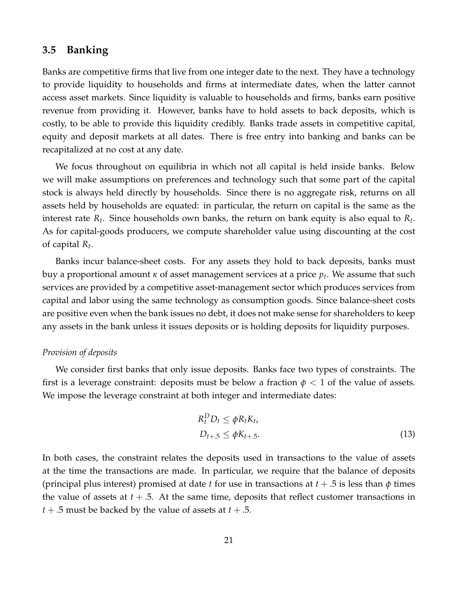### **3.5 Banking**

Banks are competitive firms that live from one integer date to the next. They have a technology to provide liquidity to households and firms at intermediate dates, when the latter cannot access asset markets. Since liquidity is valuable to households and firms, banks earn positive revenue from providing it. However, banks have to hold assets to back deposits, which is costly, to be able to provide this liquidity credibly. Banks trade assets in competitive capital, equity and deposit markets at all dates. There is free entry into banking and banks can be recapitalized at no cost at any date.

We focus throughout on equilibria in which not all capital is held inside banks. Below we will make assumptions on preferences and technology such that some part of the capital stock is always held directly by households. Since there is no aggregate risk, returns on all assets held by households are equated: in particular, the return on capital is the same as the interest rate *R<sup>t</sup>* . Since households own banks, the return on bank equity is also equal to *R<sup>t</sup>* . As for capital-goods producers, we compute shareholder value using discounting at the cost of capital *R<sup>t</sup>* .

Banks incur balance-sheet costs. For any assets they hold to back deposits, banks must buy a proportional amount *κ* of asset management services at a price *p<sup>t</sup>* . We assume that such services are provided by a competitive asset-management sector which produces services from capital and labor using the same technology as consumption goods. Since balance-sheet costs are positive even when the bank issues no debt, it does not make sense for shareholders to keep any assets in the bank unless it issues deposits or is holding deposits for liquidity purposes.

#### *Provision of deposits*

We consider first banks that only issue deposits. Banks face two types of constraints. The first is a leverage constraint: deposits must be below a fraction  $\phi$  < 1 of the value of assets. We impose the leverage constraint at both integer and intermediate dates:

<span id="page-20-0"></span>
$$
R_t^D D_t \le \phi R_t K_t,
$$
  
\n
$$
D_{t+.5} \le \phi K_{t+.5}.
$$
\n(13)

In both cases, the constraint relates the deposits used in transactions to the value of assets at the time the transactions are made. In particular, we require that the balance of deposits (principal plus interest) promised at date *t* for use in transactions at *t* + .5 is less than *φ* times the value of assets at  $t + .5$ . At the same time, deposits that reflect customer transactions in  $t + .5$  must be backed by the value of assets at  $t + .5$ .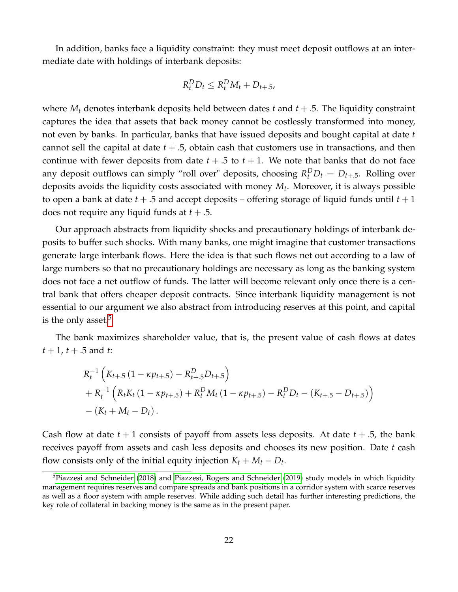In addition, banks face a liquidity constraint: they must meet deposit outflows at an intermediate date with holdings of interbank deposits:

$$
R_t^D D_t \le R_t^D M_t + D_{t+.5},
$$

where  $M_t$  denotes interbank deposits held between dates *t* and  $t + .5$ . The liquidity constraint captures the idea that assets that back money cannot be costlessly transformed into money, not even by banks. In particular, banks that have issued deposits and bought capital at date *t* cannot sell the capital at date  $t + .5$ , obtain cash that customers use in transactions, and then continue with fewer deposits from date  $t + .5$  to  $t + 1$ . We note that banks that do not face any deposit outflows can simply "roll over" deposits, choosing  $R_t^D D_t = D_{t+.5}$ . Rolling over deposits avoids the liquidity costs associated with money *M<sup>t</sup>* . Moreover, it is always possible to open a bank at date *t* + .5 and accept deposits – offering storage of liquid funds until *t* + 1 does not require any liquid funds at *t* + .5.

Our approach abstracts from liquidity shocks and precautionary holdings of interbank deposits to buffer such shocks. With many banks, one might imagine that customer transactions generate large interbank flows. Here the idea is that such flows net out according to a law of large numbers so that no precautionary holdings are necessary as long as the banking system does not face a net outflow of funds. The latter will become relevant only once there is a central bank that offers cheaper deposit contracts. Since interbank liquidity management is not essential to our argument we also abstract from introducing reserves at this point, and capital is the only asset. $5$ 

The bank maximizes shareholder value, that is, the present value of cash flows at dates  $t + 1$ ,  $t + .5$  and  $t$ :

$$
R_t^{-1}\left(K_{t+.5}\left(1-\kappa p_{t+.5}\right)-R_{t+.5}^D D_{t+.5}\right) + R_t^{-1}\left(R_t K_t\left(1-\kappa p_{t+.5}\right)+R_t^D M_t\left(1-\kappa p_{t+.5}\right)-R_t^D D_t-\left(K_{t+.5}-D_{t+.5}\right)\right) -\left(K_t+M_t-D_t\right).
$$

Cash flow at date  $t + 1$  consists of payoff from assets less deposits. At date  $t + .5$ , the bank receives payoff from assets and cash less deposits and chooses its new position. Date *t* cash flow consists only of the initial equity injection  $K_t + M_t - D_t$ .

<span id="page-21-0"></span> $5P$ iazzesi and Schneider [\(2018\)](#page-34-13) and [Piazzesi, Rogers and Schneider](#page-34-2) [\(2019\)](#page-34-2) study models in which liquidity management requires reserves and compare spreads and bank positions in a corridor system with scarce reserves as well as a floor system with ample reserves. While adding such detail has further interesting predictions, the key role of collateral in backing money is the same as in the present paper.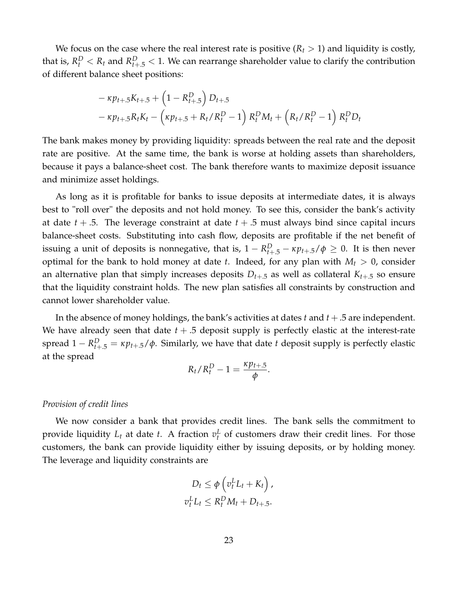We focus on the case where the real interest rate is positive  $(R_t > 1)$  and liquidity is costly, that is,  $R_t^D < R_t$  and  $R_{t+.5}^D < 1$ . We can rearrange shareholder value to clarify the contribution of different balance sheet positions:

$$
-\kappa p_{t+.5}K_{t+.5} + \left(1 - R_{t+.5}^D\right)D_{t+.5}
$$
  

$$
-\kappa p_{t+.5}R_tK_t - \left(\kappa p_{t+.5} + R_t/R_t^D - 1\right)R_t^DM_t + \left(R_t/R_t^D - 1\right)R_t^DD_t
$$

The bank makes money by providing liquidity: spreads between the real rate and the deposit rate are positive. At the same time, the bank is worse at holding assets than shareholders, because it pays a balance-sheet cost. The bank therefore wants to maximize deposit issuance and minimize asset holdings.

As long as it is profitable for banks to issue deposits at intermediate dates, it is always best to "roll over" the deposits and not hold money. To see this, consider the bank's activity at date  $t + .5$ . The leverage constraint at date  $t + .5$  must always bind since capital incurs balance-sheet costs. Substituting into cash flow, deposits are profitable if the net benefit of issuing a unit of deposits is nonnegative, that is,  $1 - R_{t+.5}^D - \kappa p_{t+.5} / \phi \geq 0$ . It is then never optimal for the bank to hold money at date *t*. Indeed, for any plan with  $M_t > 0$ , consider an alternative plan that simply increases deposits  $D_{t+0}$  as well as collateral  $K_{t+0}$  so ensure that the liquidity constraint holds. The new plan satisfies all constraints by construction and cannot lower shareholder value.

In the absence of money holdings, the bank's activities at dates *t* and *t* +.5 are independent. We have already seen that date  $t + .5$  deposit supply is perfectly elastic at the interest-rate spread  $1 - R_{t+.5}^D = \kappa p_{t+.5}/\phi$ . Similarly, we have that date *t* deposit supply is perfectly elastic at the spread

$$
R_t/R_t^D-1=\frac{\kappa p_{t+.5}}{\phi}.
$$

#### *Provision of credit lines*

We now consider a bank that provides credit lines. The bank sells the commitment to provide liquidity  $L_t$  at date  $t$ . A fraction  $v_t^L$  of customers draw their credit lines. For those customers, the bank can provide liquidity either by issuing deposits, or by holding money. The leverage and liquidity constraints are

$$
D_t \leq \phi \left( v_t^L L_t + K_t \right),
$$
  

$$
v_t^L L_t \leq R_t^D M_t + D_{t+.5}.
$$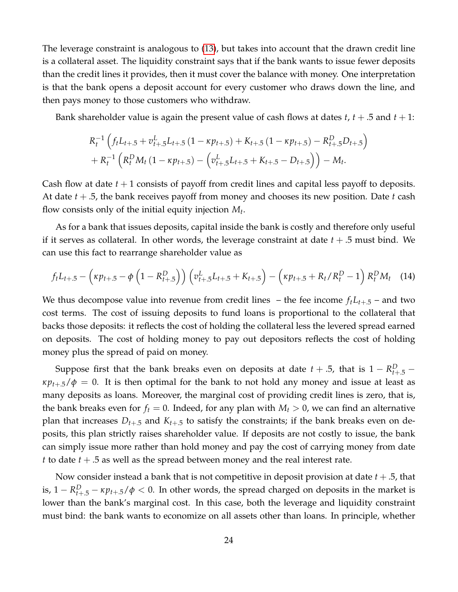The leverage constraint is analogous to [\(13\)](#page-20-0), but takes into account that the drawn credit line is a collateral asset. The liquidity constraint says that if the bank wants to issue fewer deposits than the credit lines it provides, then it must cover the balance with money. One interpretation is that the bank opens a deposit account for every customer who draws down the line, and then pays money to those customers who withdraw.

Bank shareholder value is again the present value of cash flows at dates *t*, *t* + .5 and *t* + 1:

$$
R_t^{-1} \left( f_t L_{t+.5} + v_{t+.5}^L L_{t+.5} \left( 1 - \kappa p_{t+.5} \right) + K_{t+.5} \left( 1 - \kappa p_{t+.5} \right) - R_{t+.5}^D D_{t+.5} \right) + R_t^{-1} \left( R_t^D M_t \left( 1 - \kappa p_{t+.5} \right) - \left( v_{t+.5}^L L_{t+.5} + K_{t+.5} - D_{t+.5} \right) \right) - M_t.
$$

Cash flow at date  $t + 1$  consists of payoff from credit lines and capital less payoff to deposits. At date *t* + .5, the bank receives payoff from money and chooses its new position. Date *t* cash flow consists only of the initial equity injection *M<sup>t</sup>* .

As for a bank that issues deposits, capital inside the bank is costly and therefore only useful if it serves as collateral. In other words, the leverage constraint at date  $t + .5$  must bind. We can use this fact to rearrange shareholder value as

<span id="page-23-0"></span>
$$
f_t L_{t+.5} - \left(\kappa p_{t+.5} - \phi \left(1 - R_{t+.5}^D\right)\right) \left(v_{t+.5}^L L_{t+.5} + K_{t+.5}\right) - \left(\kappa p_{t+.5} + R_t/R_t^D - 1\right) R_t^D M_t \tag{14}
$$

We thus decompose value into revenue from credit lines – the fee income  $f_t L_{t+0}$  – and two cost terms. The cost of issuing deposits to fund loans is proportional to the collateral that backs those deposits: it reflects the cost of holding the collateral less the levered spread earned on deposits. The cost of holding money to pay out depositors reflects the cost of holding money plus the spread of paid on money.

Suppose first that the bank breaks even on deposits at date  $t + .5$ , that is  $1 - R_{t+.5}^D \kappa p_{t+5}/\phi = 0$ . It is then optimal for the bank to not hold any money and issue at least as many deposits as loans. Moreover, the marginal cost of providing credit lines is zero, that is, the bank breaks even for  $f_t = 0$ . Indeed, for any plan with  $M_t > 0$ , we can find an alternative plan that increases  $D_{t+0.5}$  and  $K_{t+0.5}$  to satisfy the constraints; if the bank breaks even on deposits, this plan strictly raises shareholder value. If deposits are not costly to issue, the bank can simply issue more rather than hold money and pay the cost of carrying money from date *t* to date *t* + .5 as well as the spread between money and the real interest rate.

Now consider instead a bank that is not competitive in deposit provision at date *t* + .5, that is,  $1 - R_{t+.5}^D - \kappa p_{t+.5}/\phi < 0$ . In other words, the spread charged on deposits in the market is lower than the bank's marginal cost. In this case, both the leverage and liquidity constraint must bind: the bank wants to economize on all assets other than loans. In principle, whether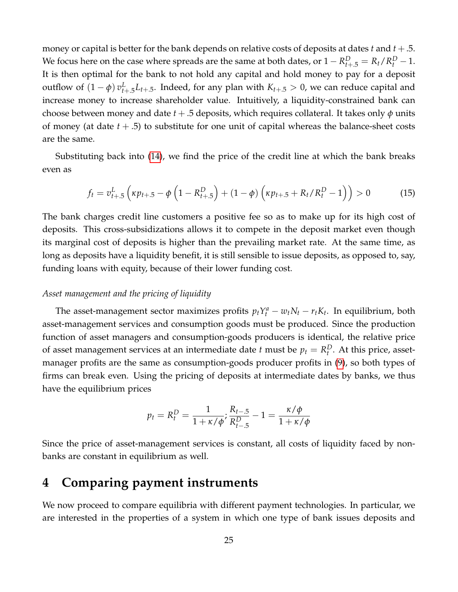money or capital is better for the bank depends on relative costs of deposits at dates *t* and *t* +.5. We focus here on the case where spreads are the same at both dates, or  $1 - R_{t+.5}^D = R_t/R_t^D - 1$ . It is then optimal for the bank to not hold any capital and hold money to pay for a deposit outflow of  $(1 - \phi) v_{t+.5}^L L_{t+.5}$ . Indeed, for any plan with  $K_{t+.5} > 0$ , we can reduce capital and increase money to increase shareholder value. Intuitively, a liquidity-constrained bank can choose between money and date *t* + .5 deposits, which requires collateral. It takes only *φ* units of money (at date *t* + .5) to substitute for one unit of capital whereas the balance-sheet costs are the same.

Substituting back into [\(14\)](#page-23-0), we find the price of the credit line at which the bank breaks even as

<span id="page-24-1"></span>
$$
f_t = v_{t+.5}^L \left( \kappa p_{t+.5} - \phi \left( 1 - R_{t+.5}^D \right) + (1 - \phi) \left( \kappa p_{t+.5} + R_t / R_t^D - 1 \right) \right) > 0 \tag{15}
$$

The bank charges credit line customers a positive fee so as to make up for its high cost of deposits. This cross-subsidizations allows it to compete in the deposit market even though its marginal cost of deposits is higher than the prevailing market rate. At the same time, as long as deposits have a liquidity benefit, it is still sensible to issue deposits, as opposed to, say, funding loans with equity, because of their lower funding cost.

#### *Asset management and the pricing of liquidity*

The asset-management sector maximizes profits  $p_t Y_t^a - w_t N_t - r_t K_t$ . In equilibrium, both asset-management services and consumption goods must be produced. Since the production function of asset managers and consumption-goods producers is identical, the relative price of asset management services at an intermediate date *t* must be  $p_t = R_t^D$ . At this price, assetmanager profits are the same as consumption-goods producer profits in [\(9\)](#page-17-0), so both types of firms can break even. Using the pricing of deposits at intermediate dates by banks, we thus have the equilibrium prices

$$
p_t = R_t^D = \frac{1}{1 + \kappa/\phi}; \frac{R_{t-0.5}}{R_{t-0.5}^D} - 1 = \frac{\kappa/\phi}{1 + \kappa/\phi}
$$

Since the price of asset-management services is constant, all costs of liquidity faced by nonbanks are constant in equilibrium as well.

# <span id="page-24-0"></span>**4 Comparing payment instruments**

We now proceed to compare equilibria with different payment technologies. In particular, we are interested in the properties of a system in which one type of bank issues deposits and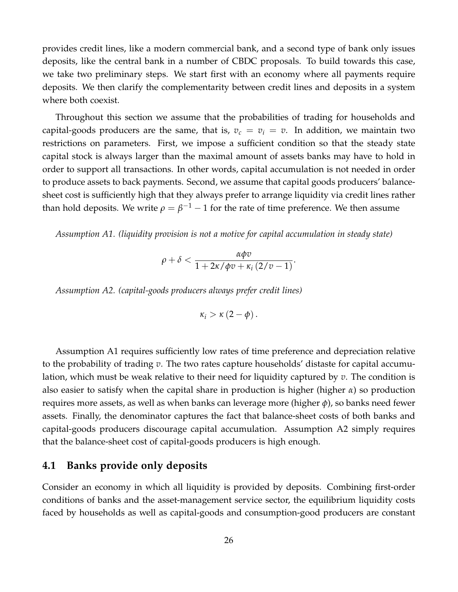provides credit lines, like a modern commercial bank, and a second type of bank only issues deposits, like the central bank in a number of CBDC proposals. To build towards this case, we take two preliminary steps. We start first with an economy where all payments require deposits. We then clarify the complementarity between credit lines and deposits in a system where both coexist.

Throughout this section we assume that the probabilities of trading for households and capital-goods producers are the same, that is,  $v_c = v_i = v$ . In addition, we maintain two restrictions on parameters. First, we impose a sufficient condition so that the steady state capital stock is always larger than the maximal amount of assets banks may have to hold in order to support all transactions. In other words, capital accumulation is not needed in order to produce assets to back payments. Second, we assume that capital goods producers' balancesheet cost is sufficiently high that they always prefer to arrange liquidity via credit lines rather than hold deposits. We write  $\rho=\beta^{-1}-1$  for the rate of time preference. We then assume

*Assumption A1. (liquidity provision is not a motive for capital accumulation in steady state)*

$$
\rho+\delta<\frac{\alpha\phi v}{1+2\kappa/\phi v+\kappa_i\left(2/v-1\right)}
$$

.

*Assumption A2. (capital-goods producers always prefer credit lines)*

$$
\kappa_i > \kappa\left(2-\phi\right).
$$

Assumption A1 requires sufficiently low rates of time preference and depreciation relative to the probability of trading *v*. The two rates capture households' distaste for capital accumulation, which must be weak relative to their need for liquidity captured by *v*. The condition is also easier to satisfy when the capital share in production is higher (higher *α*) so production requires more assets, as well as when banks can leverage more (higher *φ*), so banks need fewer assets. Finally, the denominator captures the fact that balance-sheet costs of both banks and capital-goods producers discourage capital accumulation. Assumption A2 simply requires that the balance-sheet cost of capital-goods producers is high enough.

# **4.1 Banks provide only deposits**

Consider an economy in which all liquidity is provided by deposits. Combining first-order conditions of banks and the asset-management service sector, the equilibrium liquidity costs faced by households as well as capital-goods and consumption-good producers are constant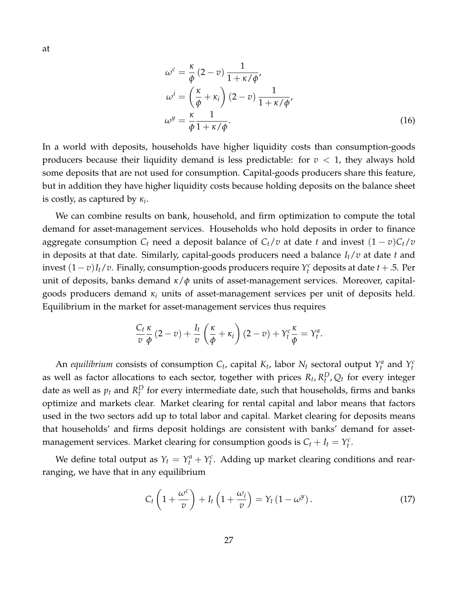<span id="page-26-1"></span>
$$
\omega^{c} = \frac{\kappa}{\phi} (2 - v) \frac{1}{1 + \kappa/\phi'},
$$
  
\n
$$
\omega^{i} = \left(\frac{\kappa}{\phi} + \kappa_{i}\right) (2 - v) \frac{1}{1 + \kappa/\phi'},
$$
  
\n
$$
\omega^{y} = \frac{\kappa}{\phi} \frac{1}{1 + \kappa/\phi}.
$$
\n(16)

In a world with deposits, households have higher liquidity costs than consumption-goods producers because their liquidity demand is less predictable: for  $v < 1$ , they always hold some deposits that are not used for consumption. Capital-goods producers share this feature, but in addition they have higher liquidity costs because holding deposits on the balance sheet is costly, as captured by *κ<sup>i</sup>* .

We can combine results on bank, household, and firm optimization to compute the total demand for asset-management services. Households who hold deposits in order to finance aggregate consumption  $C_t$  need a deposit balance of  $C_t/v$  at date *t* and invest  $(1-v)C_t/v$ in deposits at that date. Similarly, capital-goods producers need a balance *It*/*v* at date *t* and invest (1− *v*)*It*/*v*. Finally, consumption-goods producers require *Y c <sup>t</sup>* deposits at date *t* +.5. Per unit of deposits, banks demand *κ*/*φ* units of asset-management services. Moreover, capitalgoods producers demand *κ<sup>i</sup>* units of asset-management services per unit of deposits held. Equilibrium in the market for asset-management services thus requires

$$
\frac{C_t \kappa}{v \phi} (2 - v) + \frac{I_t}{v} \left( \frac{\kappa}{\phi} + \kappa_i \right) (2 - v) + Y_t^c \frac{\kappa}{\phi} = Y_t^a.
$$

An *equilibrium* consists of consumption  $C_t$ , capital  $K_t$ , labor  $N_t$  sectoral output  $Y_t^a$  and  $Y_t^c$ as well as factor allocations to each sector, together with prices  $R_t$ ,  $R_t^D$ ,  $Q_t$  for every integer date as well as  $p_t$  and  $R_t^D$  for every intermediate date, such that households, firms and banks optimize and markets clear. Market clearing for rental capital and labor means that factors used in the two sectors add up to total labor and capital. Market clearing for deposits means that households' and firms deposit holdings are consistent with banks' demand for assetmanagement services. Market clearing for consumption goods is  $C_t + I_t = Y_t^c$ .

We define total output as  $Y_t = Y_t^a + Y_t^c$ . Adding up market clearing conditions and rearranging, we have that in any equilibrium

<span id="page-26-0"></span>
$$
C_t \left( 1 + \frac{\omega^c}{v} \right) + I_t \left( 1 + \frac{\omega_i}{v} \right) = Y_t \left( 1 - \omega^y \right). \tag{17}
$$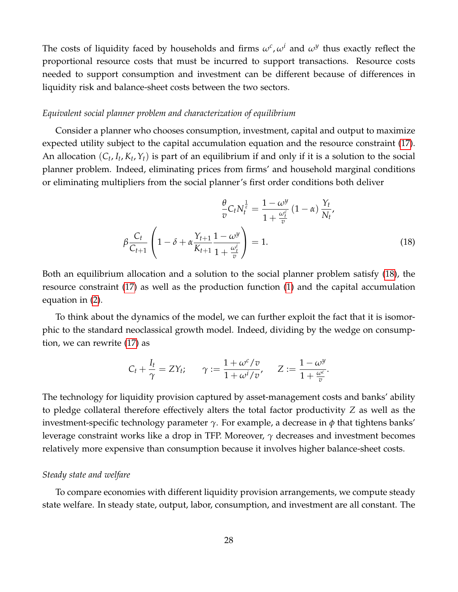The costs of liquidity faced by households and firms  $\omega^c$ ,  $\omega^i$  and  $\omega^y$  thus exactly reflect the proportional resource costs that must be incurred to support transactions. Resource costs needed to support consumption and investment can be different because of differences in liquidity risk and balance-sheet costs between the two sectors.

#### *Equivalent social planner problem and characterization of equilibrium*

Consider a planner who chooses consumption, investment, capital and output to maximize expected utility subject to the capital accumulation equation and the resource constraint [\(17\)](#page-26-0). An allocation  $(C_t, I_t, K_t, Y_t)$  is part of an equilibrium if and only if it is a solution to the social planner problem. Indeed, eliminating prices from firms' and household marginal conditions or eliminating multipliers from the social planner's first order conditions both deliver

<span id="page-27-0"></span>
$$
\frac{\theta}{v} C_t N_t^{\frac{1}{\varepsilon}} = \frac{1 - \omega^y}{1 + \frac{\omega_t^c}{v}} (1 - \alpha) \frac{Y_t}{N_t},
$$
\n
$$
\beta \frac{C_t}{C_{t+1}} \left( 1 - \delta + \alpha \frac{Y_{t+1}}{K_{t+1}} \frac{1 - \omega^y}{1 + \frac{\omega_t^i}{v}} \right) = 1.
$$
\n(18)

Both an equilibrium allocation and a solution to the social planner problem satisfy [\(18\)](#page-27-0), the resource constraint [\(17\)](#page-26-0) as well as the production function [\(1\)](#page-12-1) and the capital accumulation equation in [\(2\)](#page-13-0).

To think about the dynamics of the model, we can further exploit the fact that it is isomorphic to the standard neoclassical growth model. Indeed, dividing by the wedge on consumption, we can rewrite [\(17\)](#page-26-0) as

$$
C_t + \frac{I_t}{\gamma} = ZY_t; \qquad \gamma := \frac{1 + \omega^c/v}{1 + \omega^i/v}, \qquad Z := \frac{1 - \omega^y}{1 + \frac{\omega^c}{v}}.
$$

The technology for liquidity provision captured by asset-management costs and banks' ability to pledge collateral therefore effectively alters the total factor productivity *Z* as well as the investment-specific technology parameter *γ*. For example, a decrease in *φ* that tightens banks' leverage constraint works like a drop in TFP. Moreover, *γ* decreases and investment becomes relatively more expensive than consumption because it involves higher balance-sheet costs.

#### *Steady state and welfare*

To compare economies with different liquidity provision arrangements, we compute steady state welfare. In steady state, output, labor, consumption, and investment are all constant. The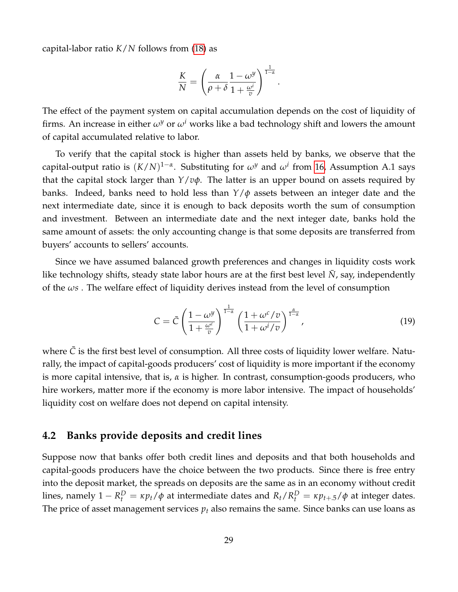capital-labor ratio *K*/*N* follows from [\(18\)](#page-27-0) as

$$
\frac{K}{N} = \left(\frac{\alpha}{\rho + \delta} \frac{1 - \omega^y}{1 + \frac{\omega^i}{v}}\right)^{\frac{1}{1 - \alpha}}.
$$

The effect of the payment system on capital accumulation depends on the cost of liquidity of firms. An increase in either  $\omega^y$  or  $\omega^i$  works like a bad technology shift and lowers the amount of capital accumulated relative to labor.

To verify that the capital stock is higher than assets held by banks, we observe that the capital-output ratio is (*K*/*N*) 1−*α* . Substituting for *ω<sup>y</sup>* and *ω<sup>i</sup>* from [16,](#page-26-1) Assumption A.1 says that the capital stock larger than *Y*/*vφ*. The latter is an upper bound on assets required by banks. Indeed, banks need to hold less than *Y*/*φ* assets between an integer date and the next intermediate date, since it is enough to back deposits worth the sum of consumption and investment. Between an intermediate date and the next integer date, banks hold the same amount of assets: the only accounting change is that some deposits are transferred from buyers' accounts to sellers' accounts.

Since we have assumed balanced growth preferences and changes in liquidity costs work like technology shifts, steady state labor hours are at the first best level  $\bar{N}$ , say, independently of the *ωs* . The welfare effect of liquidity derives instead from the level of consumption

<span id="page-28-0"></span>
$$
C = \bar{C} \left( \frac{1 - \omega^y}{1 + \frac{\omega^c}{v}} \right)^{\frac{1}{1 - \alpha}} \left( \frac{1 + \omega^c / v}{1 + \omega^i / v} \right)^{\frac{\alpha}{1 - \alpha}}, \tag{19}
$$

where  $\bar{C}$  is the first best level of consumption. All three costs of liquidity lower welfare. Naturally, the impact of capital-goods producers' cost of liquidity is more important if the economy is more capital intensive, that is, *α* is higher. In contrast, consumption-goods producers, who hire workers, matter more if the economy is more labor intensive. The impact of households' liquidity cost on welfare does not depend on capital intensity.

### **4.2 Banks provide deposits and credit lines**

Suppose now that banks offer both credit lines and deposits and that both households and capital-goods producers have the choice between the two products. Since there is free entry into the deposit market, the spreads on deposits are the same as in an economy without credit lines, namely  $1 - R_t^D = \kappa p_t/\phi$  at intermediate dates and  $R_t/R_t^D = \kappa p_{t+.5}/\phi$  at integer dates. The price of asset management services  $p_t$  also remains the same. Since banks can use loans as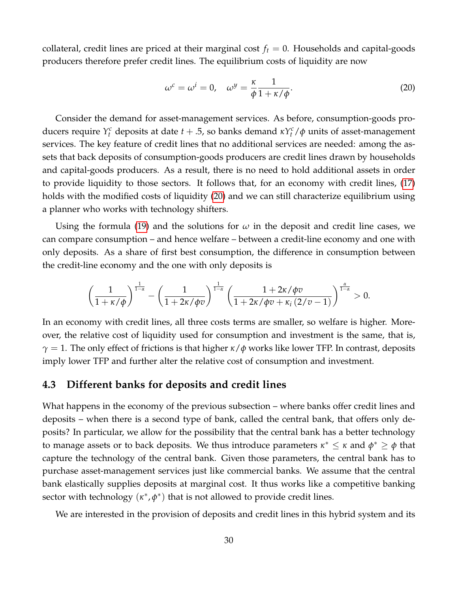collateral, credit lines are priced at their marginal cost  $f_t = 0$ . Households and capital-goods producers therefore prefer credit lines. The equilibrium costs of liquidity are now

<span id="page-29-0"></span>
$$
\omega^c = \omega^i = 0, \quad \omega^y = \frac{\kappa}{\phi} \frac{1}{1 + \kappa/\phi}.
$$
 (20)

Consider the demand for asset-management services. As before, consumption-goods producers require  $Y_t^c$  deposits at date  $t + .5$ , so banks demand  $\kappa Y_t^c / \phi$  units of asset-management services. The key feature of credit lines that no additional services are needed: among the assets that back deposits of consumption-goods producers are credit lines drawn by households and capital-goods producers. As a result, there is no need to hold additional assets in order to provide liquidity to those sectors. It follows that, for an economy with credit lines, [\(17\)](#page-26-0) holds with the modified costs of liquidity [\(20\)](#page-29-0) and we can still characterize equilibrium using a planner who works with technology shifters.

Using the formula [\(19\)](#page-28-0) and the solutions for *ω* in the deposit and credit line cases, we can compare consumption – and hence welfare – between a credit-line economy and one with only deposits. As a share of first best consumption, the difference in consumption between the credit-line economy and the one with only deposits is

$$
\left(\frac{1}{1+\kappa/\phi}\right)^{\frac{1}{1-\alpha}}-\left(\frac{1}{1+2\kappa/\phi v}\right)^{\frac{1}{1-\alpha}}\left(\frac{1+2\kappa/\phi v}{1+2\kappa/\phi v+\kappa_i\left(2/v-1\right)}\right)^{\frac{\alpha}{1-\alpha}}>0.
$$

In an economy with credit lines, all three costs terms are smaller, so welfare is higher. Moreover, the relative cost of liquidity used for consumption and investment is the same, that is, *γ* = 1. The only effect of frictions is that higher *κ*/*φ* works like lower TFP. In contrast, deposits imply lower TFP and further alter the relative cost of consumption and investment.

## **4.3 Different banks for deposits and credit lines**

What happens in the economy of the previous subsection – where banks offer credit lines and deposits – when there is a second type of bank, called the central bank, that offers only deposits? In particular, we allow for the possibility that the central bank has a better technology to manage assets or to back deposits. We thus introduce parameters  $\kappa^* \leq \kappa$  and  $\phi^* \geq \phi$  that capture the technology of the central bank. Given those parameters, the central bank has to purchase asset-management services just like commercial banks. We assume that the central bank elastically supplies deposits at marginal cost. It thus works like a competitive banking sector with technology  $(\kappa^*, \phi^*)$  that is not allowed to provide credit lines.

We are interested in the provision of deposits and credit lines in this hybrid system and its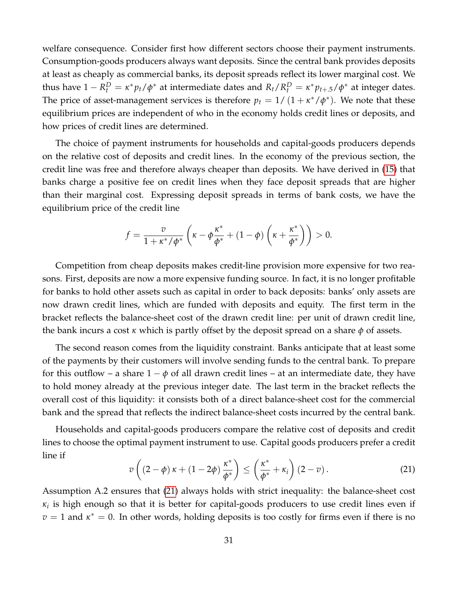welfare consequence. Consider first how different sectors choose their payment instruments. Consumption-goods producers always want deposits. Since the central bank provides deposits at least as cheaply as commercial banks, its deposit spreads reflect its lower marginal cost. We thus have  $1 - R_t^D = \kappa^* p_t / \phi^*$  at intermediate dates and  $R_t / R_t^D = \kappa^* p_{t+.5} / \phi^*$  at integer dates. The price of asset-management services is therefore  $p_t = 1/(1 + \kappa^*/\phi^*)$ . We note that these equilibrium prices are independent of who in the economy holds credit lines or deposits, and how prices of credit lines are determined.

The choice of payment instruments for households and capital-goods producers depends on the relative cost of deposits and credit lines. In the economy of the previous section, the credit line was free and therefore always cheaper than deposits. We have derived in [\(15\)](#page-24-1) that banks charge a positive fee on credit lines when they face deposit spreads that are higher than their marginal cost. Expressing deposit spreads in terms of bank costs, we have the equilibrium price of the credit line

$$
f = \frac{v}{1 + \kappa^* / \phi^*} \left( \kappa - \phi \frac{\kappa^*}{\phi^*} + (1 - \phi) \left( \kappa + \frac{\kappa^*}{\phi^*} \right) \right) > 0.
$$

Competition from cheap deposits makes credit-line provision more expensive for two reasons. First, deposits are now a more expensive funding source. In fact, it is no longer profitable for banks to hold other assets such as capital in order to back deposits: banks' only assets are now drawn credit lines, which are funded with deposits and equity. The first term in the bracket reflects the balance-sheet cost of the drawn credit line: per unit of drawn credit line, the bank incurs a cost *κ* which is partly offset by the deposit spread on a share *φ* of assets.

The second reason comes from the liquidity constraint. Banks anticipate that at least some of the payments by their customers will involve sending funds to the central bank. To prepare for this outflow – a share  $1 - \phi$  of all drawn credit lines – at an intermediate date, they have to hold money already at the previous integer date. The last term in the bracket reflects the overall cost of this liquidity: it consists both of a direct balance-sheet cost for the commercial bank and the spread that reflects the indirect balance-sheet costs incurred by the central bank.

Households and capital-goods producers compare the relative cost of deposits and credit lines to choose the optimal payment instrument to use. Capital goods producers prefer a credit line if

<span id="page-30-0"></span>
$$
v\left((2-\phi)\kappa + (1-2\phi)\frac{\kappa^*}{\phi^*}\right) \le \left(\frac{\kappa^*}{\phi^*} + \kappa_i\right)(2-v).
$$
 (21)

Assumption A.2 ensures that [\(21\)](#page-30-0) always holds with strict inequality: the balance-sheet cost *κi* is high enough so that it is better for capital-goods producers to use credit lines even if  $v = 1$  and  $\kappa^* = 0$ . In other words, holding deposits is too costly for firms even if there is no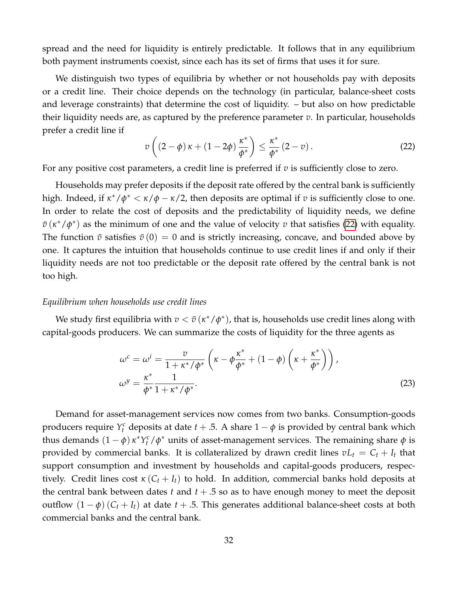spread and the need for liquidity is entirely predictable. It follows that in any equilibrium both payment instruments coexist, since each has its set of firms that uses it for sure.

We distinguish two types of equilibria by whether or not households pay with deposits or a credit line. Their choice depends on the technology (in particular, balance-sheet costs and leverage constraints) that determine the cost of liquidity. – but also on how predictable their liquidity needs are, as captured by the preference parameter *v*. In particular, households prefer a credit line if

<span id="page-31-0"></span>
$$
v\left((2-\phi)\kappa + (1-2\phi)\frac{\kappa^*}{\phi^*}\right) \le \frac{\kappa^*}{\phi^*}\left(2-v\right). \tag{22}
$$

For any positive cost parameters, a credit line is preferred if *v* is sufficiently close to zero.

Households may prefer deposits if the deposit rate offered by the central bank is sufficiently high. Indeed, if  $\kappa^*/\phi^* < \kappa/\phi - \kappa/2$ , then deposits are optimal if *v* is sufficiently close to one. In order to relate the cost of deposits and the predictability of liquidity needs, we define  $\bar{v}$  ( $\kappa^*/\phi^*$ ) as the minimum of one and the value of velocity *v* that satisfies [\(22\)](#page-31-0) with equality. The function  $\bar{v}$  satisfies  $\bar{v}(0) = 0$  and is strictly increasing, concave, and bounded above by one. It captures the intuition that households continue to use credit lines if and only if their liquidity needs are not too predictable or the deposit rate offered by the central bank is not too high.

#### *Equilibrium when households use credit lines*

We study first equilibria with  $v < \bar{v}$  ( $\kappa^*/\phi^*$ ), that is, households use credit lines along with capital-goods producers. We can summarize the costs of liquidity for the three agents as

<span id="page-31-1"></span>
$$
\omega^{c} = \omega^{i} = \frac{v}{1 + \kappa^{*}/\phi^{*}} \left( \kappa - \phi \frac{\kappa^{*}}{\phi^{*}} + (1 - \phi) \left( \kappa + \frac{\kappa^{*}}{\phi^{*}} \right) \right),
$$
  

$$
\omega^{y} = \frac{\kappa^{*}}{\phi^{*}} \frac{1}{1 + \kappa^{*}/\phi^{*}}.
$$
 (23)

Demand for asset-management services now comes from two banks. Consumption-goods producers require  $Y_t^c$  deposits at date  $t + .5$ . A share  $1 - \phi$  is provided by central bank which thus demands  $(1 - \phi) \kappa^* Y_t^c / \phi^*$  units of asset-management services. The remaining share  $\phi$  is provided by commercial banks. It is collateralized by drawn credit lines  $vL_t = C_t + I_t$  that support consumption and investment by households and capital-goods producers, respectively. Credit lines cost  $\kappa$  ( $C_t$  +  $I_t$ ) to hold. In addition, commercial banks hold deposits at the central bank between dates  $t$  and  $t + .5$  so as to have enough money to meet the deposit outflow  $(1 - \phi)(C_t + I_t)$  at date  $t + .5$ . This generates additional balance-sheet costs at both commercial banks and the central bank.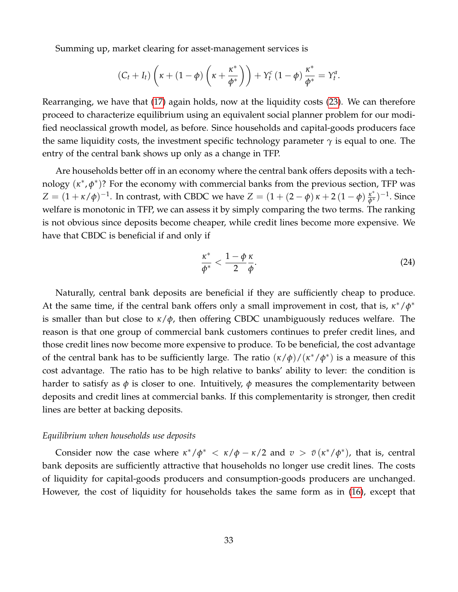Summing up, market clearing for asset-management services is

$$
(C_t+I_t)\left(\kappa+(1-\phi)\left(\kappa+\frac{\kappa^*}{\phi^*}\right)\right)+Y_t^c\left(1-\phi\right)\frac{\kappa^*}{\phi^*}=Y_t^a.
$$

Rearranging, we have that [\(17\)](#page-26-0) again holds, now at the liquidity costs [\(23\)](#page-31-1). We can therefore proceed to characterize equilibrium using an equivalent social planner problem for our modified neoclassical growth model, as before. Since households and capital-goods producers face the same liquidity costs, the investment specific technology parameter  $\gamma$  is equal to one. The entry of the central bank shows up only as a change in TFP.

Are households better off in an economy where the central bank offers deposits with a technology ( $\kappa^*$ , $\phi^*$ )? For the economy with commercial banks from the previous section, TFP was *Z* =  $(1 + \kappa/\phi)^{-1}$ . In contrast, with CBDC we have *Z* =  $(1 + (2 - \phi) \kappa + 2 (1 - \phi) \frac{\kappa^*}{\phi^*})^{-1}$ . Since welfare is monotonic in TFP, we can assess it by simply comparing the two terms. The ranking is not obvious since deposits become cheaper, while credit lines become more expensive. We have that CBDC is beneficial if and only if

<span id="page-32-0"></span>
$$
\frac{\kappa^*}{\phi^*} < \frac{1-\phi\,\kappa}{2\,\phi}.\tag{24}
$$

Naturally, central bank deposits are beneficial if they are sufficiently cheap to produce. At the same time, if the central bank offers only a small improvement in cost, that is,  $\kappa^*/\phi^*$ is smaller than but close to *κ*/*φ*, then offering CBDC unambiguously reduces welfare. The reason is that one group of commercial bank customers continues to prefer credit lines, and those credit lines now become more expensive to produce. To be beneficial, the cost advantage of the central bank has to be sufficiently large. The ratio (*κ*/*φ*)/(*κ* <sup>∗</sup>/*φ* ∗ ) is a measure of this cost advantage. The ratio has to be high relative to banks' ability to lever: the condition is harder to satisfy as  $\phi$  is closer to one. Intuitively,  $\phi$  measures the complementarity between deposits and credit lines at commercial banks. If this complementarity is stronger, then credit lines are better at backing deposits.

#### *Equilibrium when households use deposits*

Consider now the case where  $\kappa^*/\phi^* < \kappa/\phi - \kappa/2$  and  $v > \bar{v}(\kappa^*/\phi^*)$ , that is, central bank deposits are sufficiently attractive that households no longer use credit lines. The costs of liquidity for capital-goods producers and consumption-goods producers are unchanged. However, the cost of liquidity for households takes the same form as in [\(16\)](#page-26-1), except that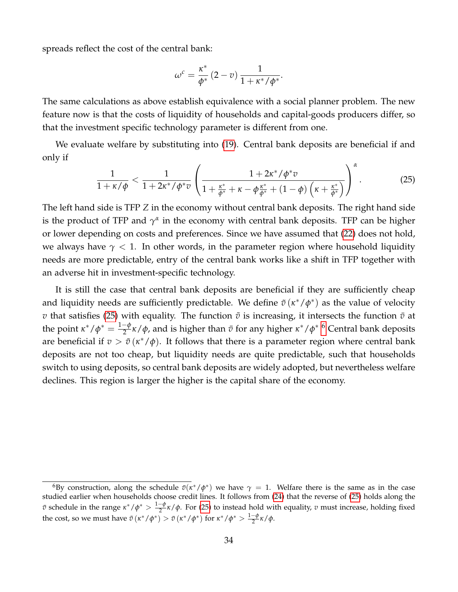spreads reflect the cost of the central bank:

<span id="page-33-0"></span>
$$
\omega^c = \frac{\kappa^*}{\phi^*} (2 - v) \frac{1}{1 + \kappa^* / \phi^*}.
$$

The same calculations as above establish equivalence with a social planner problem. The new feature now is that the costs of liquidity of households and capital-goods producers differ, so that the investment specific technology parameter is different from one.

We evaluate welfare by substituting into [\(19\)](#page-28-0). Central bank deposits are beneficial if and only if

$$
\frac{1}{1+\kappa/\phi} < \frac{1}{1+2\kappa^*/\phi^*\bar{v}} \left( \frac{1+2\kappa^*/\phi^*\bar{v}}{1+\frac{\kappa^*}{\phi^*}+\kappa-\phi\frac{\kappa^*}{\phi^*}+(1-\phi)\left(\kappa+\frac{\kappa^*}{\phi^*}\right)} \right)^{\alpha} \tag{25}
$$

The left hand side is TFP *Z* in the economy without central bank deposits. The right hand side is the product of TFP and  $\gamma^{\alpha}$  in the economy with central bank deposits. TFP can be higher or lower depending on costs and preferences. Since we have assumed that [\(22\)](#page-31-0) does not hold, we always have  $\gamma$  < 1. In other words, in the parameter region where household liquidity needs are more predictable, entry of the central bank works like a shift in TFP together with an adverse hit in investment-specific technology.

It is still the case that central bank deposits are beneficial if they are sufficiently cheap and liquidity needs are sufficiently predictable. We define  $\tilde{v}(\kappa^*/\phi^*)$  as the value of velocity *v* that satisfies [\(25\)](#page-33-0) with equality. The function  $\tilde{v}$  is increasing, it intersects the function  $\bar{v}$  at the point  $\kappa^*/\phi^* = \frac{1-\phi}{2}$  $\frac{1-\phi}{2}$ κ/φ, and is higher than  $\bar{v}$  for any higher κ\*/φ\* <sup>[6](#page-33-1)</sup> Central bank deposits are beneficial if  $v > \tilde{v}(\kappa^*/\phi)$ . It follows that there is a parameter region where central bank deposits are not too cheap, but liquidity needs are quite predictable, such that households switch to using deposits, so central bank deposits are widely adopted, but nevertheless welfare declines. This region is larger the higher is the capital share of the economy.

<span id="page-33-1"></span> ${}^6$ By construction, along the schedule  $\bar{v}(\kappa^*/\phi^*)$  we have  $\gamma=1$ . Welfare there is the same as in the case studied earlier when households choose credit lines. It follows from [\(24\)](#page-32-0) that the reverse of [\(25\)](#page-33-0) holds along the *v* schedule in the range  $κ$ <sup>\*</sup> /  $φ$ <sup>\*</sup> >  $\frac{1-\phi}{2}$  $\frac{2}{2}$ <sup>*κ*</sup>/φ. For [\(25\)](#page-33-0) to instead hold with equality, *v* must increase, holding fixed the cost, so we must have  $\tilde{v}$  ( $\kappa^*/\phi^*$ ) >  $\bar{v}$  ( $\kappa^*/\phi^*$ ) for  $\kappa^*/\phi^*$  >  $\frac{1-\phi}{2}$ 2 *κ*/*φ*.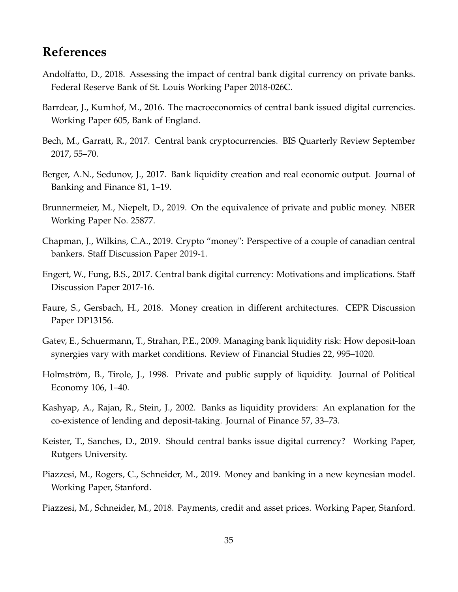# **References**

- <span id="page-34-9"></span>Andolfatto, D., 2018. Assessing the impact of central bank digital currency on private banks. Federal Reserve Bank of St. Louis Working Paper 2018-026C.
- <span id="page-34-3"></span>Barrdear, J., Kumhof, M., 2016. The macroeconomics of central bank issued digital currencies. Working Paper 605, Bank of England.
- <span id="page-34-0"></span>Bech, M., Garratt, R., 2017. Central bank cryptocurrencies. BIS Quarterly Review September 2017, 55–70.
- <span id="page-34-1"></span>Berger, A.N., Sedunov, J., 2017. Bank liquidity creation and real economic output. Journal of Banking and Finance 81, 1–19.
- <span id="page-34-11"></span>Brunnermeier, M., Niepelt, D., 2019. On the equivalence of private and public money. NBER Working Paper No. 25877.
- <span id="page-34-7"></span>Chapman, J., Wilkins, C.A., 2019. Crypto "money": Perspective of a couple of canadian central bankers. Staff Discussion Paper 2019-1.
- <span id="page-34-8"></span>Engert, W., Fung, B.S., 2017. Central bank digital currency: Motivations and implications. Staff Discussion Paper 2017-16.
- <span id="page-34-10"></span>Faure, S., Gersbach, H., 2018. Money creation in different architectures. CEPR Discussion Paper DP13156.
- <span id="page-34-6"></span>Gatev, E., Schuermann, T., Strahan, P.E., 2009. Managing bank liquidity risk: How deposit-loan synergies vary with market conditions. Review of Financial Studies 22, 995–1020.
- <span id="page-34-4"></span>Holmström, B., Tirole, J., 1998. Private and public supply of liquidity. Journal of Political Economy 106, 1–40.
- <span id="page-34-5"></span>Kashyap, A., Rajan, R., Stein, J., 2002. Banks as liquidity providers: An explanation for the co-existence of lending and deposit-taking. Journal of Finance 57, 33–73.
- <span id="page-34-12"></span>Keister, T., Sanches, D., 2019. Should central banks issue digital currency? Working Paper, Rutgers University.
- <span id="page-34-2"></span>Piazzesi, M., Rogers, C., Schneider, M., 2019. Money and banking in a new keynesian model. Working Paper, Stanford.
- <span id="page-34-13"></span>Piazzesi, M., Schneider, M., 2018. Payments, credit and asset prices. Working Paper, Stanford.